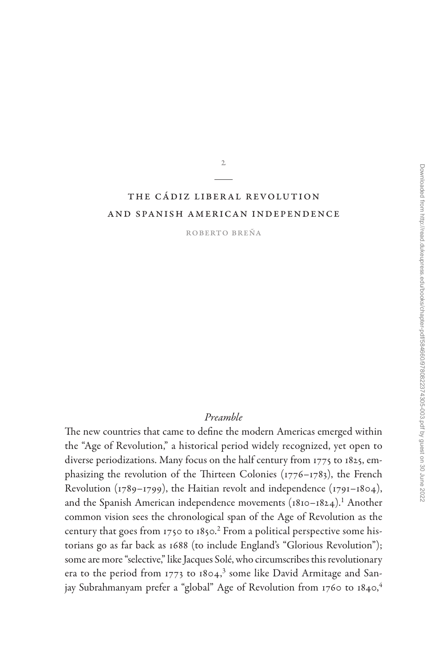# The Cádiz Liberal Revolution [and Spanish American Independence](#page--1-0)

2

Roberto Breña

# *Preamble*

The new countries that came to define the modern Americas emerged within the "Age of Revolution," a historical period widely recognized, yet open to diverse periodizations. Many focus on the half century from 1775 to 1825, emphasizing the revolution of the Thirteen Colonies (1776–1783), the French Revolution (1789–1799), the Haitian revolt and independence (1791–1804), and the Spanish American independence movements ([1](#page-27-0)810–1824).<sup>1</sup> Another common vision sees the chronological span of the Age of Revolution as the century that goes from 1750 to 1850.<sup>2</sup> From a political perspective some historians go as far back as 1688 (to include England's "Glorious Revolution"); some are more "selective," like Jacques Solé, who circumscribes this revolutionary era to the period from 1773 to 1804,<sup>3</sup> some like David Armitage and San-jay Subrahmanyam prefer a "global" Age of Revolution from 1760 to 18[4](#page-28-0)0,<sup>4</sup>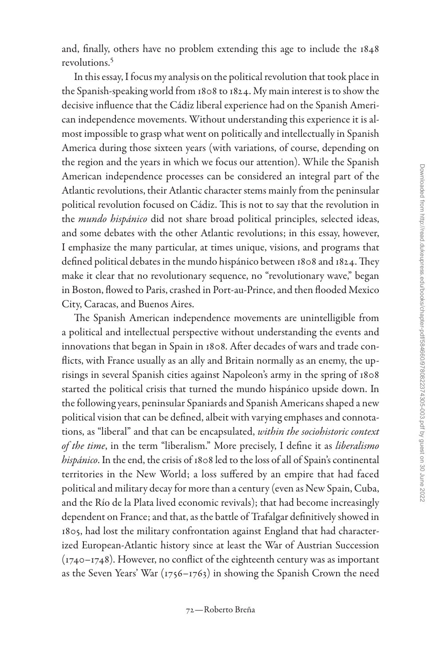and, finally, others have no problem extending this age to include the 1848 revolutions[.5](#page-28-0)

In this essay, I focus my analysis on the political revolution that took place in the Spanish-speaking world from 1808 to 1824. My main interest is to show the decisive influence that the Cádiz liberal experience had on the Spanish American independence movements. Without understanding this experience it is almost impossible to grasp what went on politically and intellectually in Spanish America during those sixteen years (with variations, of course, depending on the region and the years in which we focus our attention). While the Spanish American independence processes can be considered an integral part of the Atlantic revolutions, their Atlantic character stems mainly from the peninsular political revolution focused on Cádiz. This is not to say that the revolution in the *mundo hispánico* did not share broad political principles, selected ideas, and some debates with the other Atlantic revolutions; in this essay, however, I emphasize the many particular, at times unique, visions, and programs that defined political debates in the mundo hispánico between 1808 and 1824. They make it clear that no revolutionary sequence, no "revolutionary wave," began in Boston, flowed to Paris, crashed in Port-au-Prince, and then flooded Mexico City, Caracas, and Buenos Aires.

The Spanish American independence movements are unintelligible from a political and intellectual perspective without understanding the events and innovations that began in Spain in 1808. After decades of wars and trade conflicts, with France usually as an ally and Britain normally as an enemy, the uprisings in several Spanish cities against Napoleon's army in the spring of 1808 started the political crisis that turned the mundo hispánico upside down. In the following years, peninsular Spaniards and Spanish Americans shaped a new political vision that can be defined, albeit with varying emphases and connotations, as "liberal" and that can be encapsulated, *within the sociohistoric context of the time*, in the term "liberalism." More precisely, I define it as *liberalismo hispánico*. In the end, the crisis of 1808 led to the loss of all of Spain's continental territories in the New World; a loss suffered by an empire that had faced political and military decay for more than a century (even as New Spain, Cuba, and the Río de la Plata lived economic revivals); that had become increasingly dependent on France; and that, as the battle of Trafalgar definitively showed in 1805, had lost the military confrontation against England that had characterized European-Atlantic history since at least the War of Austrian Succession (1740–1748). However, no conflict of the eighteenth century was as important as the Seven Years' War (1756–1763) in showing the Spanish Crown the need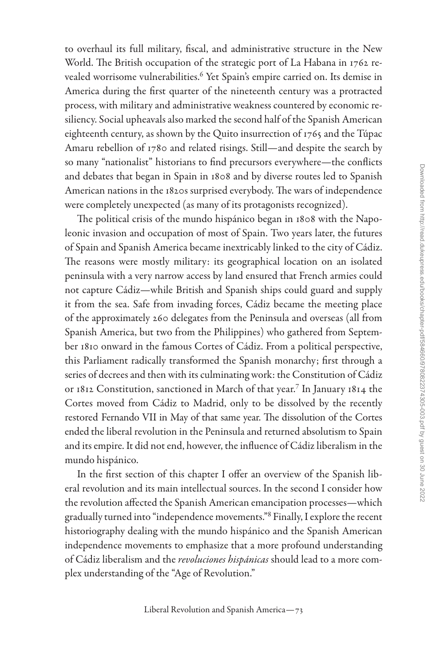to overhaul its full military, fiscal, and administrative structure in the New World. The British occupation of the strategic port of La Habana in 1762 revealed worrisome vulnerabilities[.6](#page-28-0) Yet Spain's empire carried on. Its demise in America during the first quarter of the nineteenth century was a protracted process, with military and administrative weakness countered by economic resiliency. Social upheavals also marked the second half of the Spanish American eighteenth century, as shown by the Quito insurrection of 1765 and the Túpac Amaru rebellion of 1780 and related risings. Still—and despite the search by so many "nationalist" historians to find precursors everywhere—the conflicts and debates that began in Spain in 1808 and by diverse routes led to Spanish American nations in the 1820s surprised everybody. The wars of independence were completely unexpected (as many of its protagonists recognized).

The political crisis of the mundo hispánico began in 1808 with the Napoleonic invasion and occupation of most of Spain. Two years later, the futures of Spain and Spanish America became inextricably linked to the city of Cádiz. The reasons were mostly military: its geographical location on an isolated peninsula with a very narrow access by land ensured that French armies could not capture Cádiz—while British and Spanish ships could guard and supply it from the sea. Safe from invading forces, Cádiz became the meeting place of the approximately 260 delegates from the Peninsula and overseas (all from Spanish America, but two from the Philippines) who gathered from September 1810 onward in the famous Cortes of Cádiz. From a political perspective, this Parliament radically transformed the Spanish monarchy; first through a series of decrees and then with its culminating work: the Constitution of Cádiz or 1812 Constitution, sanctioned in March of that year.[7](#page-28-0) In January 1814 the Cortes moved from Cádiz to Madrid, only to be dissolved by the recently restored Fernando VII in May of that same year. The dissolution of the Cortes ended the liberal revolution in the Peninsula and returned absolutism to Spain and its empire. It did not end, however, the influence of Cádiz liberalism in the mundo hispánico.

In the first section of this chapter I offer an overview of the Spanish liberal revolution and its main intellectual sources. In the second I consider how the revolution affected the Spanish American emancipation processes—which gradually turned into "independence movements."[8](#page-28-0) Finally, I explore the recent historiography dealing with the mundo hispánico and the Spanish American independence movements to emphasize that a more profound understanding of Cádiz liberalism and the *revoluciones hispánicas* should lead to a more complex understanding of the "Age of Revolution."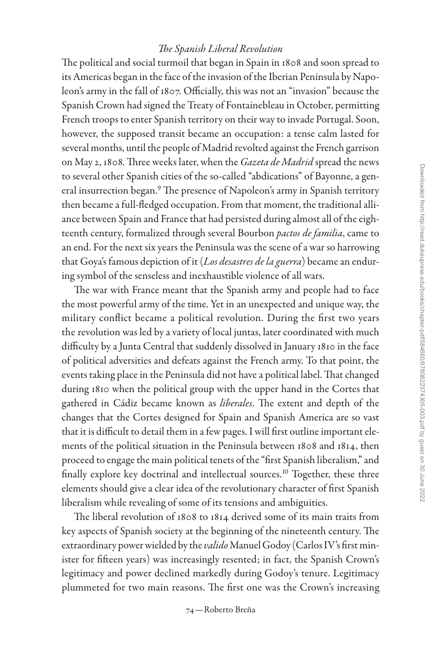### *The Spanish Liberal Revolution*

The political and social turmoil that began in Spain in 1808 and soon spread to its Americas began in the face of the invasion of the Iberian Peninsula by Napoleon's army in the fall of 1807. Officially, this was not an "invasion" because the Spanish Crown had signed the Treaty of Fontainebleau in October, permitting French troops to enter Spanish territory on their way to invade Portugal. Soon, however, the supposed transit became an occupation: a tense calm lasted for several months, until the people of Madrid revolted against the French garrison on May 2, 1808. Three weeks later, when the *Gazeta de Madrid* spread the news to several other Spanish cities of the so-called "abdications" of Bayonne, a general insurrection began.<sup>9</sup> The presence of Napoleon's army in Spanish territory then became a full-fledged occupation. From that moment, the traditional alliance between Spain and France that had persisted during almost all of the eighteenth century, formalized through several Bourbon *pactos de familia*, came to an end. For the next six years the Peninsula was the scene of a war so harrowing that Goya's famous depiction of it (*Los desastres de la guerra*) became an enduring symbol of the senseless and inexhaustible violence of all wars.

The war with France meant that the Spanish army and people had to face the most powerful army of the time. Yet in an unexpected and unique way, the military conflict became a political revolution. During the first two years the revolution was led by a variety of local juntas, later coordinated with much difficulty by a Junta Central that suddenly dissolved in January 1810 in the face of political adversities and defeats against the French army. To that point, the events taking place in the Peninsula did not have a political label. That changed during 1810 when the political group with the upper hand in the Cortes that gathered in Cádiz became known as *liberales*. The extent and depth of the changes that the Cortes designed for Spain and Spanish America are so vast that it is difficult to detail them in a few pages. I will first outline important elements of the political situation in the Peninsula between 1808 and 1814, then proceed to engage the main political tenets of the "first Spanish liberalism," and finally explore key doctrinal and intellectual sources.<sup>10</sup> Together, these three elements should give a clear idea of the revolutionary character of first Spanish liberalism while revealing of some of its tensions and ambiguities.

The liberal revolution of 1808 to 1814 derived some of its main traits from key aspects of Spanish society at the beginning of the nineteenth century. The extraordinary power wielded by the *valido* Manuel Godoy (Carlos IV's first minister for fifteen years) was increasingly resented; in fact, the Spanish Crown's legitimacy and power declined markedly during Godoy's tenure. Legitimacy plummeted for two main reasons. The first one was the Crown's increasing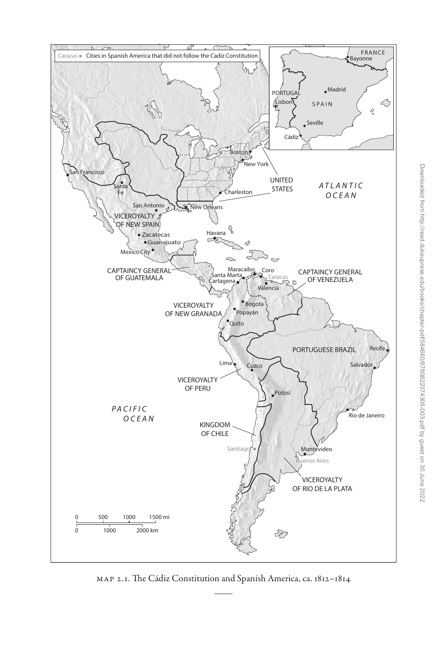

Map 2.1. The Cádiz Constitution and Spanish America, ca. 1812–1814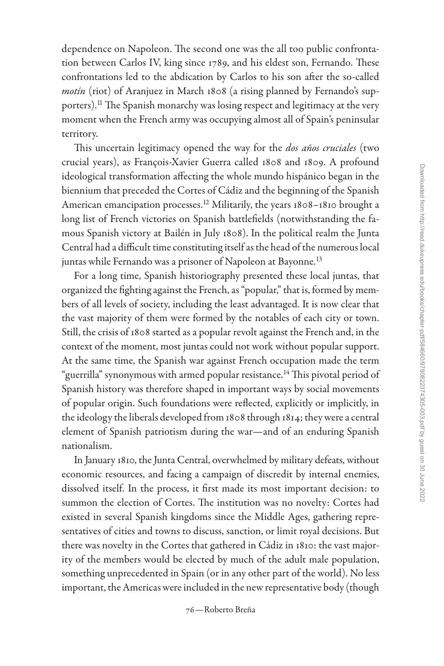dependence on Napoleon. The second one was the all too public confrontation between Carlos IV, king since 1789, and his eldest son, Fernando. These confrontations led to the abdication by Carlos to his son after the so-called *motín* (riot) of Aranjuez in March 1808 (a rising planned by Fernando's supporters).<sup>11</sup> The Spanish monarchy was losing respect and legitimacy at the very moment when the French army was occupying almost all of Spain's peninsular territory.

This uncertain legitimacy opened the way for the *dos años cruciales* (two crucial years), as François-Xavier Guerra called 1808 and 1809. A profound ideological transformation affecting the whole mundo hispánico began in the biennium that preceded the Cortes of Cádiz and the beginning of the Spanish American emancipation processes.<sup>12</sup> Militarily, the years 1808-1810 brought a long list of French victories on Spanish battlefields (notwithstanding the famous Spanish victory at Bailén in July 1808). In the political realm the Junta Central had a difficult time constituting itself as the head of the numerous local juntas while Fernando was a prisoner of Napoleon at Bayonne.<sup>13</sup>

For a long time, Spanish historiography presented these local juntas, that organized the fighting against the French, as "popular," that is, formed by members of all levels of society, including the least advantaged. It is now clear that the vast majority of them were formed by the notables of each city or town. Still, the crisis of 1808 started as a popular revolt against the French and, in the context of the moment, most juntas could not work without popular support. At the same time, the Spanish war against French occupation made the term "guerrilla" synonymous with armed popular resistance.<sup>14</sup> This pivotal period of Spanish history was therefore shaped in important ways by social movements of popular origin. Such foundations were reflected, explicitly or implicitly, in the ideology the liberals developed from 1808 through 1814; they were a central element of Spanish patriotism during the war—and of an enduring Spanish nationalism.

In January 1810, the Junta Central, overwhelmed by military defeats, without economic resources, and facing a campaign of discredit by internal enemies, dissolved itself. In the process, it first made its most important decision: to summon the election of Cortes. The institution was no novelty: Cortes had existed in several Spanish kingdoms since the Middle Ages, gathering representatives of cities and towns to discuss, sanction, or limit royal decisions. But there was novelty in the Cortes that gathered in Cádiz in 1810: the vast majority of the members would be elected by much of the adult male population, something unprecedented in Spain (or in any other part of the world). No less important, the Americas were included in the new representative body (though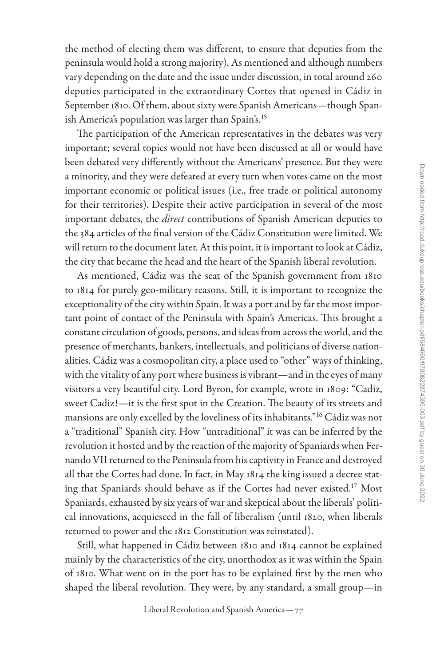the method of electing them was different, to ensure that deputies from the peninsula would hold a strong majority). As mentioned and although numbers vary depending on the date and the issue under discussion, in total around 260 deputies participated in the extraordinary Cortes that opened in Cádiz in September 1810. Of them, about sixty were Spanish Americans—though Span-ish America's population was larger than Spain's.<sup>[15](#page-29-0)</sup>

The participation of the American representatives in the debates was very important; several topics would not have been discussed at all or would have been debated very differently without the Americans' presence. But they were a minority, and they were defeated at every turn when votes came on the most important economic or political issues (i.e., free trade or political autonomy for their territories). Despite their active participation in several of the most important debates, the *direct* contributions of Spanish American deputies to the 384 articles of the final version of the Cádiz Constitution were limited. We will return to the document later. At this point, it is important to look at Cádiz, the city that became the head and the heart of the Spanish liberal revolution.

As mentioned, Cádiz was the seat of the Spanish government from 1810 to 1814 for purely geo-military reasons. Still, it is important to recognize the exceptionality of the city within Spain. It was a port and by far the most important point of contact of the Peninsula with Spain's Americas. This brought a constant circulation of goods, persons, and ideas from across the world, and the presence of merchants, bankers, intellectuals, and politicians of diverse nationalities. Cádiz was a cosmopolitan city, a place used to "other" ways of thinking, with the vitality of any port where business is vibrant—and in the eyes of many visitors a very beautiful city. Lord Byron, for example, wrote in 1809: "Cadiz, sweet Cadiz!—it is the first spot in the Creation. The beauty of its streets and mansions are only excelled by the loveliness of its inhabitants.["16](#page-29-0) Cádiz was not a "traditional" Spanish city. How "untraditional" it was can be inferred by the revolution it hosted and by the reaction of the majority of Spaniards when Fernando VII returned to the Peninsula from his captivity in France and destroyed all that the Cortes had done. In fact, in May 1814 the king issued a decree stating that Spaniards should behave as if the Cortes had never existed[.17](#page-29-0) Most Spaniards, exhausted by six years of war and skeptical about the liberals' political innovations, acquiesced in the fall of liberalism (until 1820, when liberals returned to power and the 1812 Constitution was reinstated).

Still, what happened in Cádiz between 1810 and 1814 cannot be explained mainly by the characteristics of the city, unorthodox as it was within the Spain of 1810. What went on in the port has to be explained first by the men who shaped the liberal revolution. They were, by any standard, a small group—in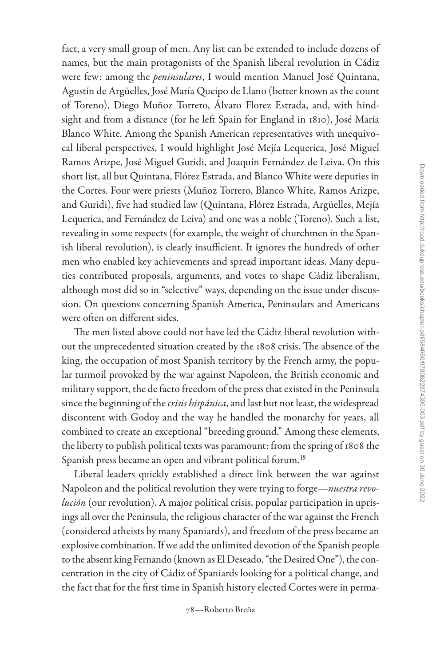fact, a very small group of men. Any list can be extended to include dozens of names, but the main protagonists of the Spanish liberal revolution in Cádiz were few: among the *peninsulares*, I would mention Manuel José Quintana, Agustín de Argüelles, José María Queipo de Llano (better known as the count of Toreno), Diego Muñoz Torrero, Álvaro Florez Estrada, and, with hindsight and from a distance (for he left Spain for England in 1810), José María Blanco White. Among the Spanish American representatives with unequivocal liberal perspectives, I would highlight José Mejía Lequerica, José Miguel Ramos Arizpe, José Miguel Guridi, and Joaquín Fernández de Leiva. On this short list, all but Quintana, Flórez Estrada, and Blanco White were deputies in the Cortes. Four were priests (Muñoz Torrero, Blanco White, Ramos Arizpe, and Guridi), five had studied law (Quintana, Flórez Estrada, Argüelles, Mejía Lequerica, and Fernández de Leiva) and one was a noble (Toreno). Such a list, revealing in some respects (for example, the weight of churchmen in the Spanish liberal revolution), is clearly insufficient. It ignores the hundreds of other men who enabled key achievements and spread important ideas. Many deputies contributed proposals, arguments, and votes to shape Cádiz liberalism, although most did so in "selective" ways, depending on the issue under discussion. On questions concerning Spanish America, Peninsulars and Americans were often on different sides.

The men listed above could not have led the Cádiz liberal revolution without the unprecedented situation created by the 1808 crisis. The absence of the king, the occupation of most Spanish territory by the French army, the popular turmoil provoked by the war against Napoleon, the British economic and military support, the de facto freedom of the press that existed in the Peninsula since the beginning of the *crisis hispánica*, and last but not least, the widespread discontent with Godoy and the way he handled the monarchy for years, all combined to create an exceptional "breeding ground." Among these elements, the liberty to publish political texts was paramount: from the spring of 1808 the Spanish press became an open and vibrant political forum.<sup>18</sup>

Liberal leaders quickly established a direct link between the war against Napoleon and the political revolution they were trying to forge—*nuestra revolución* (our revolution). A major political crisis, popular participation in uprisings all over the Peninsula, the religious character of the war against the French (considered atheists by many Spaniards), and freedom of the press became an explosive combination. If we add the unlimited devotion of the Spanish people to the absent king Fernando (known as El Deseado, "the Desired One"), the concentration in the city of Cádiz of Spaniards looking for a political change, and the fact that for the first time in Spanish history elected Cortes were in perma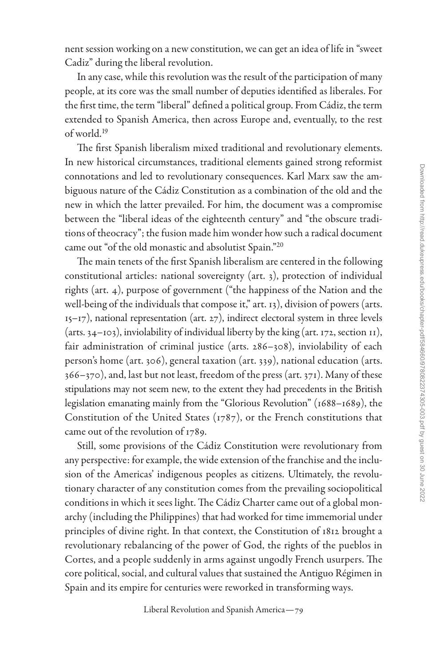nent session working on a new constitution, we can get an idea of life in "sweet Cadiz" during the liberal revolution.

In any case, while this revolution was the result of the participation of many people, at its core was the small number of deputies identified as liberales. For the first time, the term "liberal" defined a political group. From Cádiz, the term extended to Spanish America, then across Europe and, eventually, to the rest of world.[19](#page-29-0)

The first Spanish liberalism mixed traditional and revolutionary elements. In new historical circumstances, traditional elements gained strong reformist connotations and led to revolutionary consequences. Karl Marx saw the ambiguous nature of the Cádiz Constitution as a combination of the old and the new in which the latter prevailed. For him, the document was a compromise between the "liberal ideas of the eighteenth century" and "the obscure traditions of theocracy"; the fusion made him wonder how such a radical document came out "of the old monastic and absolutist Spain.["20](#page-29-0)

The main tenets of the first Spanish liberalism are centered in the following constitutional articles: national sovereignty (art. 3), protection of individual rights (art. 4), purpose of government ("the happiness of the Nation and the well-being of the individuals that compose it," art. 13), division of powers (arts. 15–17), national representation (art. 27), indirect electoral system in three levels (arts. 34–103), inviolability of individual liberty by the king (art. 172, section 11), fair administration of criminal justice (arts. 286–308), inviolability of each person's home (art. 306), general taxation (art. 339), national education (arts. 366–370), and, last but not least, freedom of the press (art. 371). Many of these stipulations may not seem new, to the extent they had precedents in the British legislation emanating mainly from the "Glorious Revolution" (1688–1689), the Constitution of the United States (1787), or the French constitutions that came out of the revolution of 1789.

Still, some provisions of the Cádiz Constitution were revolutionary from any perspective: for example, the wide extension of the franchise and the inclusion of the Americas' indigenous peoples as citizens. Ultimately, the revolutionary character of any constitution comes from the prevailing sociopolitical conditions in which it sees light. The Cádiz Charter came out of a global monarchy (including the Philippines) that had worked for time immemorial under principles of divine right. In that context, the Constitution of 1812 brought a revolutionary rebalancing of the power of God, the rights of the pueblos in Cortes, and a people suddenly in arms against ungodly French usurpers. The core political, social, and cultural values that sustained the Antiguo Régimen in Spain and its empire for centuries were reworked in transforming ways.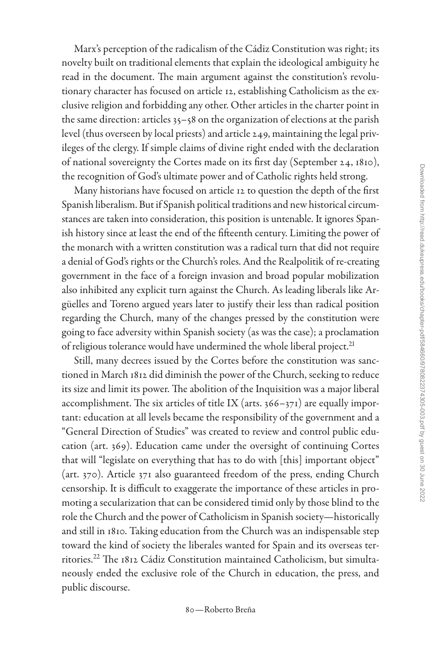Marx's perception of the radicalism of the Cádiz Constitution was right; its novelty built on traditional elements that explain the ideological ambiguity he read in the document. The main argument against the constitution's revolutionary character has focused on article 12, establishing Catholicism as the exclusive religion and forbidding any other. Other articles in the charter point in the same direction: articles 35–58 on the organization of elections at the parish level (thus overseen by local priests) and article 249, maintaining the legal privileges of the clergy. If simple claims of divine right ended with the declaration of national sovereignty the Cortes made on its first day (September 24, 1810), the recognition of God's ultimate power and of Catholic rights held strong.

Many historians have focused on article 12 to question the depth of the first Spanish liberalism. But if Spanish political traditions and new historical circumstances are taken into consideration, this position is untenable. It ignores Spanish history since at least the end of the fifteenth century. Limiting the power of the monarch with a written constitution was a radical turn that did not require a denial of God's rights or the Church's roles. And the Realpolitik of re-creating government in the face of a foreign invasion and broad popular mobilization also inhibited any explicit turn against the Church. As leading liberals like Argüelles and Toreno argued years later to justify their less than radical position regarding the Church, many of the changes pressed by the constitution were going to face adversity within Spanish society (as was the case); a proclamation of religious tolerance would have undermined the whole liberal project.<sup>21</sup>

Still, many decrees issued by the Cortes before the constitution was sanctioned in March 1812 did diminish the power of the Church, seeking to reduce its size and limit its power. The abolition of the Inquisition was a major liberal accomplishment. The six articles of title IX (arts.  $366 - 371$ ) are equally important: education at all levels became the responsibility of the government and a "General Direction of Studies" was created to review and control public education (art. 369). Education came under the oversight of continuing Cortes that will "legislate on everything that has to do with [this] important object" (art. 370). Article 371 also guaranteed freedom of the press, ending Church censorship. It is difficult to exaggerate the importance of these articles in promoting a secularization that can be considered timid only by those blind to the role the Church and the power of Catholicism in Spanish society—historically and still in 1810. Taking education from the Church was an indispensable step toward the kind of society the liberales wanted for Spain and its overseas territories.[22](#page-29-0) The 1812 Cádiz Constitution maintained Catholicism, but simultaneously ended the exclusive role of the Church in education, the press, and public discourse.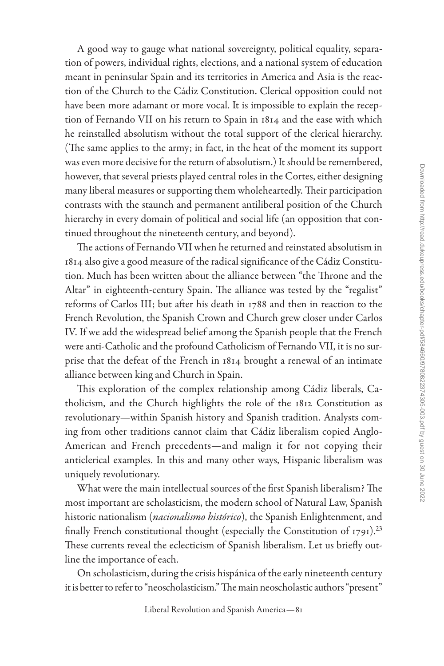A good way to gauge what national sovereignty, political equality, separation of powers, individual rights, elections, and a national system of education meant in peninsular Spain and its territories in America and Asia is the reaction of the Church to the Cádiz Constitution. Clerical opposition could not have been more adamant or more vocal. It is impossible to explain the reception of Fernando VII on his return to Spain in 1814 and the ease with which he reinstalled absolutism without the total support of the clerical hierarchy. (The same applies to the army; in fact, in the heat of the moment its support was even more decisive for the return of absolutism.) It should be remembered, however, that several priests played central roles in the Cortes, either designing many liberal measures or supporting them wholeheartedly. Their participation contrasts with the staunch and permanent antiliberal position of the Church hierarchy in every domain of political and social life (an opposition that continued throughout the nineteenth century, and beyond).

The actions of Fernando VII when he returned and reinstated absolutism in 1814 also give a good measure of the radical significance of the Cádiz Constitution. Much has been written about the alliance between "the Throne and the Altar" in eighteenth-century Spain. The alliance was tested by the "regalist" reforms of Carlos III; but after his death in 1788 and then in reaction to the French Revolution, the Spanish Crown and Church grew closer under Carlos IV. If we add the widespread belief among the Spanish people that the French were anti-Catholic and the profound Catholicism of Fernando VII, it is no surprise that the defeat of the French in 1814 brought a renewal of an intimate alliance between king and Church in Spain.

This exploration of the complex relationship among Cádiz liberals, Catholicism, and the Church highlights the role of the 1812 Constitution as revolutionary—within Spanish history and Spanish tradition. Analysts coming from other traditions cannot claim that Cádiz liberalism copied Anglo-American and French precedents—and malign it for not copying their anticlerical examples. In this and many other ways, Hispanic liberalism was uniquely revolutionary.

What were the main intellectual sources of the first Spanish liberalism? The most important are scholasticism, the modern school of Natural Law, Spanish historic nationalism (*nacionalismo histórico*), the Spanish Enlightenment, and finally French constitutional thought (especially the Constitution of 1791).<sup>[23](#page-29-0)</sup> These currents reveal the eclecticism of Spanish liberalism. Let us briefly outline the importance of each.

On scholasticism, during the crisis hispánica of the early nineteenth century it is better to refer to "neoscholasticism." The main neoscholastic authors "present"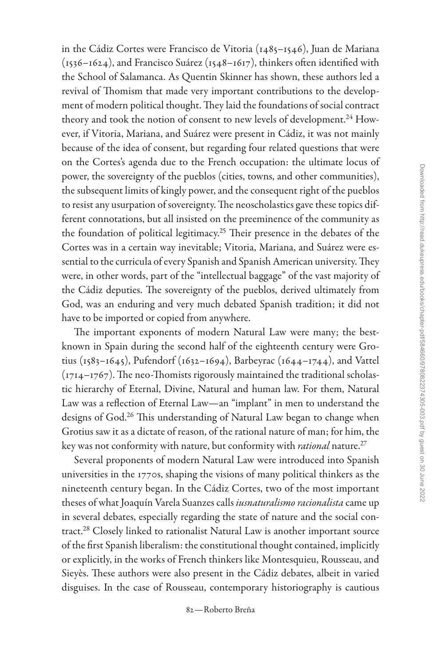in the Cádiz Cortes were Francisco de Vitoria (1485–1546), Juan de Mariana (1536–1624), and Francisco Suárez (1548–1617), thinkers often identified with the School of Salamanca. As Quentin Skinner has shown, these authors led a revival of Thomism that made very important contributions to the development of modern political thought. They laid the foundations of social contract theory and took the notion of consent to new levels of development.<sup>24</sup> However, if Vitoria, Mariana, and Suárez were present in Cádiz, it was not mainly because of the idea of consent, but regarding four related questions that were on the Cortes's agenda due to the French occupation: the ultimate locus of power, the sovereignty of the pueblos (cities, towns, and other communities), the subsequent limits of kingly power, and the consequent right of the pueblos to resist any usurpation of sovereignty. The neoscholastics gave these topics different connotations, but all insisted on the preeminence of the community as the foundation of political legitimacy.[25](#page-30-0) Their presence in the debates of the Cortes was in a certain way inevitable; Vitoria, Mariana, and Suárez were essential to the curricula of every Spanish and Spanish American university. They were, in other words, part of the "intellectual baggage" of the vast majority of the Cádiz deputies. The sovereignty of the pueblos, derived ultimately from God, was an enduring and very much debated Spanish tradition; it did not have to be imported or copied from anywhere.

The important exponents of modern Natural Law were many; the bestknown in Spain during the second half of the eighteenth century were Grotius (1583–1645), Pufendorf (1632–1694), Barbeyrac (1644–1744), and Vattel (1714–1767). The neo-Thomists rigorously maintained the traditional scholastic hierarchy of Eternal, Divine, Natural and human law. For them, Natural Law was a reflection of Eternal Law—an "implant" in men to understand the designs of God.<sup>26</sup> This understanding of Natural Law began to change when Grotius saw it as a dictate of reason, of the rational nature of man; for him, the key was not conformity with nature, but conformity with *rational* nature[.27](#page-30-0)

Several proponents of modern Natural Law were introduced into Spanish universities in the 1770s, shaping the visions of many political thinkers as the nineteenth century began. In the Cádiz Cortes, two of the most important theses of what Joaquín Varela Suanzes calls *iusnaturalismo racionalista* came up in several debates, especially regarding the state of nature and the social con-tract.<sup>[28](#page-30-0)</sup> Closely linked to rationalist Natural Law is another important source of the first Spanish liberalism: the constitutional thought contained, implicitly or explicitly, in the works of French thinkers like Montesquieu, Rousseau, and Sieyès. These authors were also present in the Cádiz debates, albeit in varied disguises. In the case of Rousseau, contemporary historiography is cautious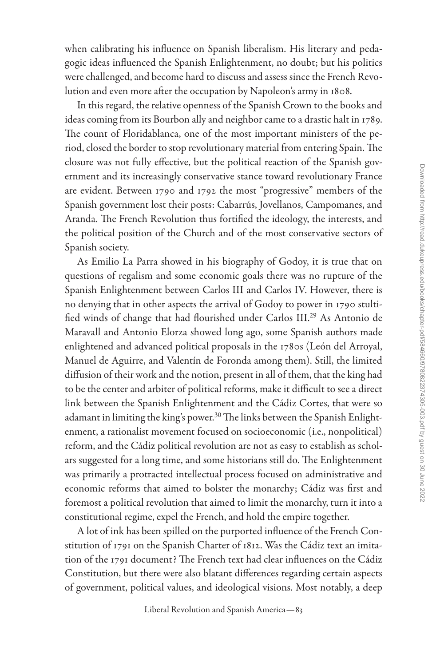when calibrating his influence on Spanish liberalism. His literary and pedagogic ideas influenced the Spanish Enlightenment, no doubt; but his politics were challenged, and become hard to discuss and assess since the French Revolution and even more after the occupation by Napoleon's army in 1808.

In this regard, the relative openness of the Spanish Crown to the books and ideas coming from its Bourbon ally and neighbor came to a drastic halt in 1789. The count of Floridablanca, one of the most important ministers of the period, closed the border to stop revolutionary material from entering Spain. The closure was not fully effective, but the political reaction of the Spanish government and its increasingly conservative stance toward revolutionary France are evident. Between 1790 and 1792 the most "progressive" members of the Spanish government lost their posts: Cabarrús, Jovellanos, Campomanes, and Aranda. The French Revolution thus fortified the ideology, the interests, and the political position of the Church and of the most conservative sectors of Spanish society.

As Emilio La Parra showed in his biography of Godoy, it is true that on questions of regalism and some economic goals there was no rupture of the Spanish Enlightenment between Carlos III and Carlos IV. However, there is no denying that in other aspects the arrival of Godoy to power in 1790 stultified winds of change that had flourished under Carlos III[.29](#page-30-0) As Antonio de Maravall and Antonio Elorza showed long ago, some Spanish authors made enlightened and advanced political proposals in the 1780s (León del Arroyal, Manuel de Aguirre, and Valentín de Foronda among them). Still, the limited diffusion of their work and the notion, present in all of them, that the king had to be the center and arbiter of political reforms, make it difficult to see a direct link between the Spanish Enlightenment and the Cádiz Cortes, that were so adamant in limiting the king's power.<sup>[30](#page-30-0)</sup> The links between the Spanish Enlightenment, a rationalist movement focused on socioeconomic (i.e., nonpolitical) reform, and the Cádiz political revolution are not as easy to establish as scholars suggested for a long time, and some historians still do. The Enlightenment was primarily a protracted intellectual process focused on administrative and economic reforms that aimed to bolster the monarchy; Cádiz was first and foremost a political revolution that aimed to limit the monarchy, turn it into a constitutional regime, expel the French, and hold the empire together.

A lot of ink has been spilled on the purported influence of the French Constitution of 1791 on the Spanish Charter of 1812. Was the Cádiz text an imitation of the 1791 document? The French text had clear influences on the Cádiz Constitution, but there were also blatant differences regarding certain aspects of government, political values, and ideological visions. Most notably, a deep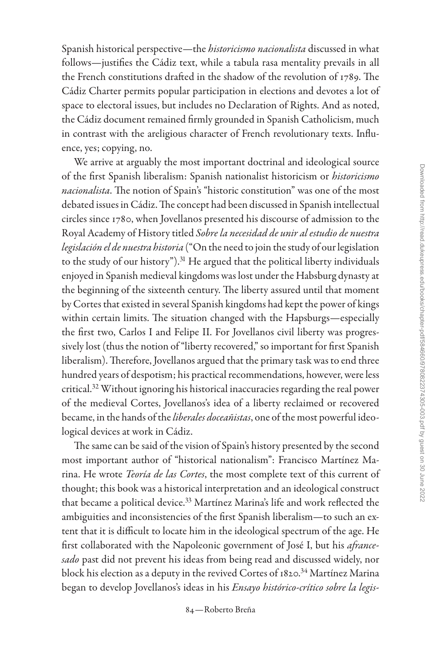Spanish historical perspective—the *historicismo nacionalista* discussed in what follows—justifies the Cádiz text, while a tabula rasa mentality prevails in all the French constitutions drafted in the shadow of the revolution of 1789. The Cádiz Charter permits popular participation in elections and devotes a lot of space to electoral issues, but includes no Declaration of Rights. And as noted, the Cádiz document remained firmly grounded in Spanish Catholicism, much in contrast with the areligious character of French revolutionary texts. Influence, yes; copying, no.

We arrive at arguably the most important doctrinal and ideological source of the first Spanish liberalism: Spanish nationalist historicism or *historicismo nacionalista*. The notion of Spain's "historic constitution" was one of the most debated issues in Cádiz. The concept had been discussed in Spanish intellectual circles since 1780, when Jovellanos presented his discourse of admission to the Royal Academy of History titled *Sobre la necesidad de unir al estudio de nuestra legislación el de nuestra historia* ("On the need to join the study of our legislation to the study of our history"). $31$  He argued that the political liberty individuals enjoyed in Spanish medieval kingdoms was lost under the Habsburg dynasty at the beginning of the sixteenth century. The liberty assured until that moment by Cortes that existed in several Spanish kingdoms had kept the power of kings within certain limits. The situation changed with the Hapsburgs—especially the first two, Carlos I and Felipe II. For Jovellanos civil liberty was progressively lost (thus the notion of "liberty recovered," so important for first Spanish liberalism). Therefore, Jovellanos argued that the primary task was to end three hundred years of despotism; his practical recommendations, however, were less critical[.32](#page-30-0) Without ignoring his historical inaccuracies regarding the real power of the medieval Cortes, Jovellanos's idea of a liberty reclaimed or recovered became, in the hands of the *liberales doceañistas*, one of the most powerful ideological devices at work in Cádiz.

The same can be said of the vision of Spain's history presented by the second most important author of "historical nationalism": Francisco Martínez Marina. He wrote *Teoría de las Cortes*, the most complete text of this current of thought; this book was a historical interpretation and an ideological construct that became a political device.<sup>33</sup> Martínez Marina's life and work reflected the ambiguities and inconsistencies of the first Spanish liberalism—to such an extent that it is difficult to locate him in the ideological spectrum of the age. He first collaborated with the Napoleonic government of José I, but his *afrancesado* past did not prevent his ideas from being read and discussed widely, nor block his election as a deputy in the revived Cortes of 1820.<sup>34</sup> Martínez Marina began to develop Jovellanos's ideas in his *Ensayo histórico-crítico sobre la legis-*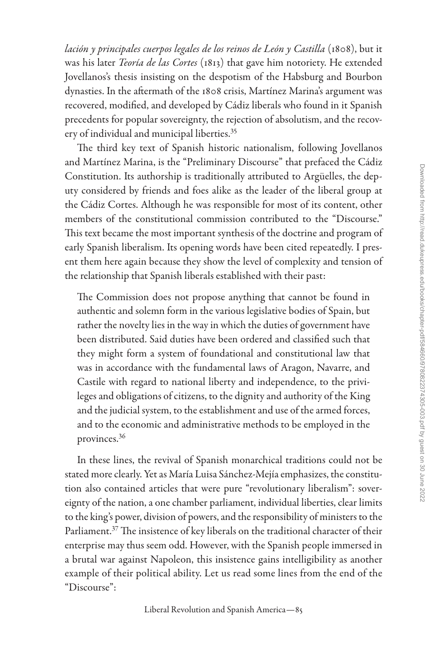*lación y principales cuerpos legales de los reinos de León y Castilla* (1808), but it was his later *Teoría de las Cortes* (1813) that gave him notoriety. He extended Jovellanos's thesis insisting on the despotism of the Habsburg and Bourbon dynasties. In the aftermath of the 1808 crisis, Martínez Marina's argument was recovered, modified, and developed by Cádiz liberals who found in it Spanish precedents for popular sovereignty, the rejection of absolutism, and the recovery of individual and municipal liberties.<sup>35</sup>

The third key text of Spanish historic nationalism, following Jovellanos and Martínez Marina, is the "Preliminary Discourse" that prefaced the Cádiz Constitution. Its authorship is traditionally attributed to Argüelles, the deputy considered by friends and foes alike as the leader of the liberal group at the Cádiz Cortes. Although he was responsible for most of its content, other members of the constitutional commission contributed to the "Discourse." This text became the most important synthesis of the doctrine and program of early Spanish liberalism. Its opening words have been cited repeatedly. I present them here again because they show the level of complexity and tension of the relationship that Spanish liberals established with their past:

The Commission does not propose anything that cannot be found in authentic and solemn form in the various legislative bodies of Spain, but rather the novelty lies in the way in which the duties of government have been distributed. Said duties have been ordered and classified such that they might form a system of foundational and constitutional law that was in accordance with the fundamental laws of Aragon, Navarre, and Castile with regard to national liberty and independence, to the privileges and obligations of citizens, to the dignity and authority of the King and the judicial system, to the establishment and use of the armed forces, and to the economic and administrative methods to be employed in the provinces[.36](#page-31-0)

In these lines, the revival of Spanish monarchical traditions could not be stated more clearly. Yet as María Luisa Sánchez-Mejía emphasizes, the constitution also contained articles that were pure "revolutionary liberalism": sovereignty of the nation, a one chamber parliament, individual liberties, clear limits to the king's power, division of powers, and the responsibility of ministers to the Parliament.<sup>[37](#page-31-0)</sup> The insistence of key liberals on the traditional character of their enterprise may thus seem odd. However, with the Spanish people immersed in a brutal war against Napoleon, this insistence gains intelligibility as another example of their political ability. Let us read some lines from the end of the "Discourse":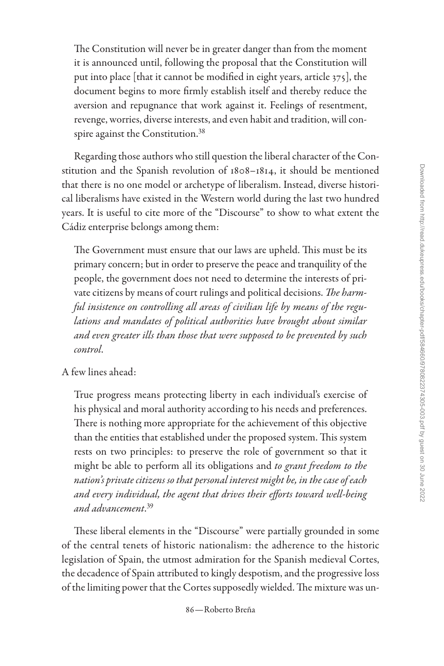The Constitution will never be in greater danger than from the moment it is announced until, following the proposal that the Constitution will put into place [that it cannot be modified in eight years, article 375], the document begins to more firmly establish itself and thereby reduce the aversion and repugnance that work against it. Feelings of resentment, revenge, worries, diverse interests, and even habit and tradition, will con-spire against the Constitution.<sup>[38](#page-31-0)</sup>

Regarding those authors who still question the liberal character of the Constitution and the Spanish revolution of 1808–1814, it should be mentioned that there is no one model or archetype of liberalism. Instead, diverse historical liberalisms have existed in the Western world during the last two hundred years. It is useful to cite more of the "Discourse" to show to what extent the Cádiz enterprise belongs among them:

The Government must ensure that our laws are upheld. This must be its primary concern; but in order to preserve the peace and tranquility of the people, the government does not need to determine the interests of private citizens by means of court rulings and political decisions. *The harmful insistence on controlling all areas of civilian life by means of the regulations and mandates of political authorities have brought about similar and even greater ills than those that were supposed to be prevented by such control*.

# A few lines ahead:

True progress means protecting liberty in each individual's exercise of his physical and moral authority according to his needs and preferences. There is nothing more appropriate for the achievement of this objective than the entities that established under the proposed system. This system rests on two principles: to preserve the role of government so that it might be able to perform all its obligations and *to grant freedom to the nation's private citizens so that personal interest might be, in the case of each and every individual, the agent that drives their efforts toward well-being and advancement*. [39](#page-31-0)

These liberal elements in the "Discourse" were partially grounded in some of the central tenets of historic nationalism: the adherence to the historic legislation of Spain, the utmost admiration for the Spanish medieval Cortes, the decadence of Spain attributed to kingly despotism, and the progressive loss of the limiting power that the Cortes supposedly wielded. The mixture was un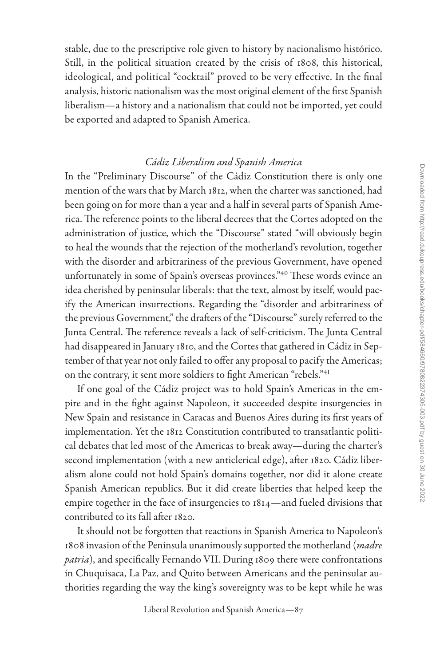stable, due to the prescriptive role given to history by nacionalismo histórico. Still, in the political situation created by the crisis of 1808, this historical, ideological, and political "cocktail" proved to be very effective. In the final analysis, historic nationalism was the most original element of the first Spanish liberalism—a history and a nationalism that could not be imported, yet could be exported and adapted to Spanish America.

# *Cádiz Liberalism and Spanish America*

In the "Preliminary Discourse" of the Cádiz Constitution there is only one mention of the wars that by March 1812, when the charter was sanctioned, had been going on for more than a year and a half in several parts of Spanish America. The reference points to the liberal decrees that the Cortes adopted on the administration of justice, which the "Discourse" stated "will obviously begin to heal the wounds that the rejection of the motherland's revolution, together with the disorder and arbitrariness of the previous Government, have opened unfortunately in some of Spain's overseas provinces."[40](#page-31-0) These words evince an idea cherished by peninsular liberals: that the text, almost by itself, would pacify the American insurrections. Regarding the "disorder and arbitrariness of the previous Government," the drafters of the "Discourse" surely referred to the Junta Central. The reference reveals a lack of self-criticism. The Junta Central had disappeared in January 1810, and the Cortes that gathered in Cádiz in September of that year not only failed to offer any proposal to pacify the Americas; on the contrary, it sent more soldiers to fight American "rebels."[41](#page-31-0)

If one goal of the Cádiz project was to hold Spain's Americas in the empire and in the fight against Napoleon, it succeeded despite insurgencies in New Spain and resistance in Caracas and Buenos Aires during its first years of implementation. Yet the 1812 Constitution contributed to transatlantic political debates that led most of the Americas to break away—during the charter's second implementation (with a new anticlerical edge), after 1820. Cádiz liberalism alone could not hold Spain's domains together, nor did it alone create Spanish American republics. But it did create liberties that helped keep the empire together in the face of insurgencies to 1814—and fueled divisions that contributed to its fall after 1820.

It should not be forgotten that reactions in Spanish America to Napoleon's 1808 invasion of the Peninsula unanimously supported the motherland (*madre patria*), and specifically Fernando VII. During 1809 there were confrontations in Chuquisaca, La Paz, and Quito between Americans and the peninsular authorities regarding the way the king's sovereignty was to be kept while he was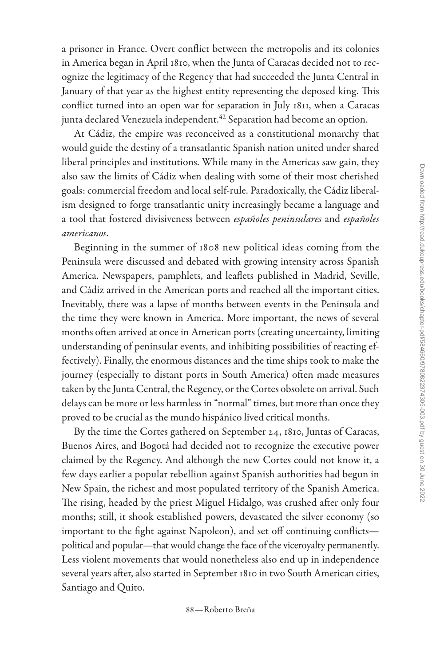a prisoner in France. Overt conflict between the metropolis and its colonies in America began in April 1810, when the Junta of Caracas decided not to recognize the legitimacy of the Regency that had succeeded the Junta Central in January of that year as the highest entity representing the deposed king. This conflict turned into an open war for separation in July 1811, when a Caracas junta declared Venezuela independent.<sup>42</sup> Separation had become an option.

At Cádiz, the empire was reconceived as a constitutional monarchy that would guide the destiny of a transatlantic Spanish nation united under shared liberal principles and institutions. While many in the Americas saw gain, they also saw the limits of Cádiz when dealing with some of their most cherished goals: commercial freedom and local self-rule. Paradoxically, the Cádiz liberalism designed to forge transatlantic unity increasingly became a language and a tool that fostered divisiveness between *españoles peninsulares* and *españoles americanos*.

Beginning in the summer of 1808 new political ideas coming from the Peninsula were discussed and debated with growing intensity across Spanish America. Newspapers, pamphlets, and leaflets published in Madrid, Seville, and Cádiz arrived in the American ports and reached all the important cities. Inevitably, there was a lapse of months between events in the Peninsula and the time they were known in America. More important, the news of several months often arrived at once in American ports (creating uncertainty, limiting understanding of peninsular events, and inhibiting possibilities of reacting effectively). Finally, the enormous distances and the time ships took to make the journey (especially to distant ports in South America) often made measures taken by the Junta Central, the Regency, or the Cortes obsolete on arrival. Such delays can be more or less harmless in "normal" times, but more than once they proved to be crucial as the mundo hispánico lived critical months.

By the time the Cortes gathered on September 24, 1810, Juntas of Caracas, Buenos Aires, and Bogotá had decided not to recognize the executive power claimed by the Regency. And although the new Cortes could not know it, a few days earlier a popular rebellion against Spanish authorities had begun in New Spain, the richest and most populated territory of the Spanish America. The rising, headed by the priest Miguel Hidalgo, was crushed after only four months; still, it shook established powers, devastated the silver economy (so important to the fight against Napoleon), and set off continuing conflicts political and popular—that would change the face of the viceroyalty permanently. Less violent movements that would nonetheless also end up in independence several years after, also started in September 1810 in two South American cities, Santiago and Quito.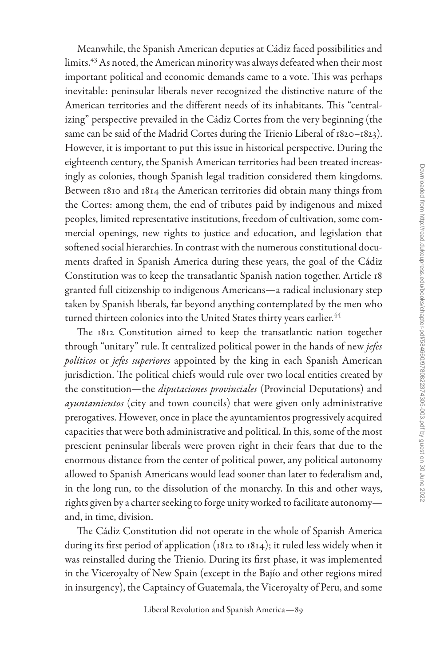Meanwhile, the Spanish American deputies at Cádiz faced possibilities and limits.<sup>43</sup> As noted, the American minority was always defeated when their most important political and economic demands came to a vote. This was perhaps inevitable: peninsular liberals never recognized the distinctive nature of the American territories and the different needs of its inhabitants. This "centralizing" perspective prevailed in the Cádiz Cortes from the very beginning (the same can be said of the Madrid Cortes during the Trienio Liberal of 1820–1823). However, it is important to put this issue in historical perspective. During the eighteenth century, the Spanish American territories had been treated increasingly as colonies, though Spanish legal tradition considered them kingdoms. Between 1810 and 1814 the American territories did obtain many things from the Cortes: among them, the end of tributes paid by indigenous and mixed peoples, limited representative institutions, freedom of cultivation, some commercial openings, new rights to justice and education, and legislation that softened social hierarchies. In contrast with the numerous constitutional documents drafted in Spanish America during these years, the goal of the Cádiz Constitution was to keep the transatlantic Spanish nation together. Article 18 granted full citizenship to indigenous Americans—a radical inclusionary step taken by Spanish liberals, far beyond anything contemplated by the men who turned thirteen colonies into the United States thirty years earlier. $^{44}$  $^{44}$  $^{44}$ 

The 1812 Constitution aimed to keep the transatlantic nation together through "unitary" rule. It centralized political power in the hands of new *jefes políticos* or *jefes superiores* appointed by the king in each Spanish American jurisdiction. The political chiefs would rule over two local entities created by the constitution—the *diputaciones provinciales* (Provincial Deputations) and *ayuntamientos* (city and town councils) that were given only administrative prerogatives. However, once in place the ayuntamientos progressively acquired capacities that were both administrative and political. In this, some of the most prescient peninsular liberals were proven right in their fears that due to the enormous distance from the center of political power, any political autonomy allowed to Spanish Americans would lead sooner than later to federalism and, in the long run, to the dissolution of the monarchy. In this and other ways, rights given by a charter seeking to forge unity worked to facilitate autonomy and, in time, division.

The Cádiz Constitution did not operate in the whole of Spanish America during its first period of application (1812 to 1814); it ruled less widely when it was reinstalled during the Trienio. During its first phase, it was implemented in the Viceroyalty of New Spain (except in the Bajío and other regions mired in insurgency), the Captaincy of Guatemala, the Viceroyalty of Peru, and some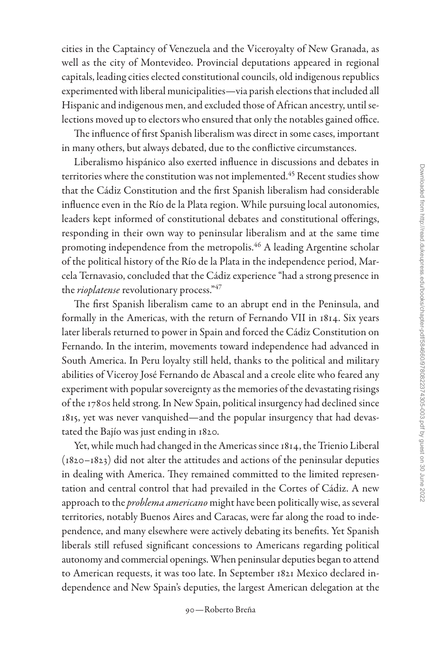cities in the Captaincy of Venezuela and the Viceroyalty of New Granada, as well as the city of Montevideo. Provincial deputations appeared in regional capitals, leading cities elected constitutional councils, old indigenous republics experimented with liberal municipalities—via parish elections that included all Hispanic and indigenous men, and excluded those of African ancestry, until selections moved up to electors who ensured that only the notables gained office.

The influence of first Spanish liberalism was direct in some cases, important in many others, but always debated, due to the conflictive circumstances.

Liberalismo hispánico also exerted influence in discussions and debates in territories where the constitution was not implemented.<sup>45</sup> Recent studies show that the Cádiz Constitution and the first Spanish liberalism had considerable influence even in the Río de la Plata region. While pursuing local autonomies, leaders kept informed of constitutional debates and constitutional offerings, responding in their own way to peninsular liberalism and at the same time promoting independence from the metropolis.<sup>46</sup> A leading Argentine scholar of the political history of the Río de la Plata in the independence period, Marcela Ternavasio, concluded that the Cádiz experience "had a strong presence in the *rioplatense* revolutionary process.["47](#page-31-0)

The first Spanish liberalism came to an abrupt end in the Peninsula, and formally in the Americas, with the return of Fernando VII in 1814. Six years later liberals returned to power in Spain and forced the Cádiz Constitution on Fernando. In the interim, movements toward independence had advanced in South America. In Peru loyalty still held, thanks to the political and military abilities of Viceroy José Fernando de Abascal and a creole elite who feared any experiment with popular sovereignty as the memories of the devastating risings of the 1780s held strong. In New Spain, political insurgency had declined since 1815, yet was never vanquished—and the popular insurgency that had devastated the Bajío was just ending in 1820.

Yet, while much had changed in the Americas since 1814, the Trienio Liberal (1820–1823) did not alter the attitudes and actions of the peninsular deputies in dealing with America. They remained committed to the limited representation and central control that had prevailed in the Cortes of Cádiz. A new approach to the *problema americano* might have been politically wise, as several territories, notably Buenos Aires and Caracas, were far along the road to independence, and many elsewhere were actively debating its benefits. Yet Spanish liberals still refused significant concessions to Americans regarding political autonomy and commercial openings. When peninsular deputies began to attend to American requests, it was too late. In September 1821 Mexico declared independence and New Spain's deputies, the largest American delegation at the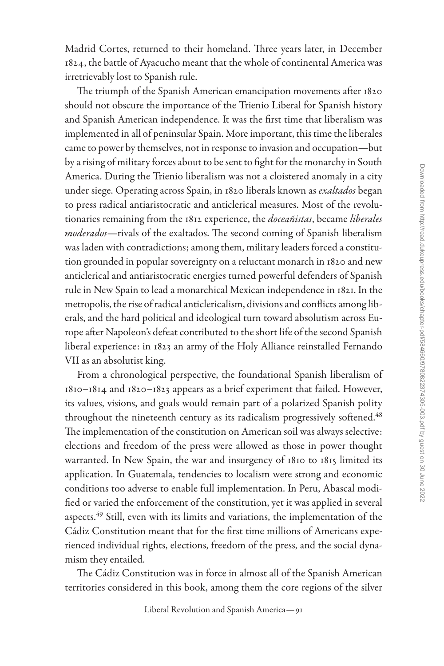Madrid Cortes, returned to their homeland. Three years later, in December 1824, the battle of Ayacucho meant that the whole of continental America was irretrievably lost to Spanish rule.

The triumph of the Spanish American emancipation movements after 1820 should not obscure the importance of the Trienio Liberal for Spanish history and Spanish American independence. It was the first time that liberalism was implemented in all of peninsular Spain. More important, this time the liberales came to power by themselves, not in response to invasion and occupation—but by a rising of military forces about to be sent to fight for the monarchy in South America. During the Trienio liberalism was not a cloistered anomaly in a city under siege. Operating across Spain, in 1820 liberals known as *exaltados* began to press radical antiaristocratic and anticlerical measures. Most of the revolutionaries remaining from the 1812 experience, the *doceañistas*, became *liberales moderados*—rivals of the exaltados. The second coming of Spanish liberalism was laden with contradictions; among them, military leaders forced a constitution grounded in popular sovereignty on a reluctant monarch in 1820 and new anticlerical and antiaristocratic energies turned powerful defenders of Spanish rule in New Spain to lead a monarchical Mexican independence in 1821. In the metropolis, the rise of radical anticlericalism, divisions and conflicts among liberals, and the hard political and ideological turn toward absolutism across Europe after Napoleon's defeat contributed to the short life of the second Spanish liberal experience: in 1823 an army of the Holy Alliance reinstalled Fernando VII as an absolutist king.

From a chronological perspective, the foundational Spanish liberalism of 1810–1814 and 1820–1823 appears as a brief experiment that failed. However, its values, visions, and goals would remain part of a polarized Spanish polity throughout the nineteenth century as its radicalism progressively softened. $^{48}$ The implementation of the constitution on American soil was always selective: elections and freedom of the press were allowed as those in power thought warranted. In New Spain, the war and insurgency of 1810 to 1815 limited its application. In Guatemala, tendencies to localism were strong and economic conditions too adverse to enable full implementation. In Peru, Abascal modified or varied the enforcement of the constitution, yet it was applied in several aspects.<sup>49</sup> Still, even with its limits and variations, the implementation of the Cádiz Constitution meant that for the first time millions of Americans experienced individual rights, elections, freedom of the press, and the social dynamism they entailed.

The Cádiz Constitution was in force in almost all of the Spanish American territories considered in this book, among them the core regions of the silver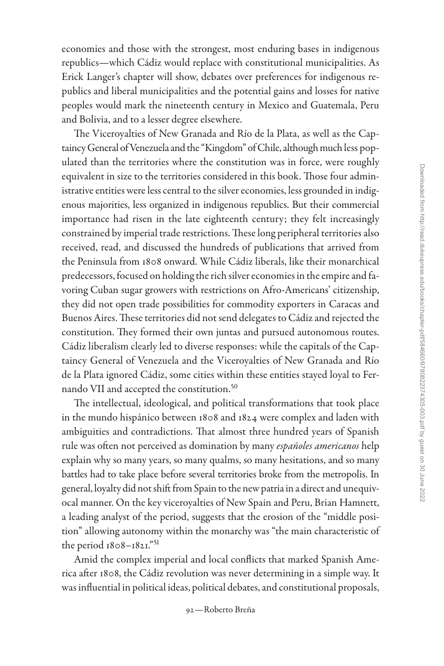economies and those with the strongest, most enduring bases in indigenous republics—which Cádiz would replace with constitutional municipalities. As Erick Langer's chapter will show, debates over preferences for indigenous republics and liberal municipalities and the potential gains and losses for native peoples would mark the nineteenth century in Mexico and Guatemala, Peru and Bolivia, and to a lesser degree elsewhere.

The Viceroyalties of New Granada and Río de la Plata, as well as the Captaincy General of Venezuela and the "Kingdom" of Chile, although much less populated than the territories where the constitution was in force, were roughly equivalent in size to the territories considered in this book. Those four administrative entities were less central to the silver economies, less grounded in indigenous majorities, less organized in indigenous republics. But their commercial importance had risen in the late eighteenth century; they felt increasingly constrained by imperial trade restrictions. These long peripheral territories also received, read, and discussed the hundreds of publications that arrived from the Peninsula from 1808 onward. While Cádiz liberals, like their monarchical predecessors, focused on holding the rich silver economies in the empire and favoring Cuban sugar growers with restrictions on Afro-Americans' citizenship, they did not open trade possibilities for commodity exporters in Caracas and Buenos Aires. These territories did not send delegates to Cádiz and rejected the constitution. They formed their own juntas and pursued autonomous routes. Cádiz liberalism clearly led to diverse responses: while the capitals of the Captaincy General of Venezuela and the Viceroyalties of New Granada and Río de la Plata ignored Cádiz, some cities within these entities stayed loyal to Fernando VII and accepted the constitution[.50](#page-32-0)

The intellectual, ideological, and political transformations that took place in the mundo hispánico between 1808 and 1824 were complex and laden with ambiguities and contradictions. That almost three hundred years of Spanish rule was often not perceived as domination by many *españoles americanos* help explain why so many years, so many qualms, so many hesitations, and so many battles had to take place before several territories broke from the metropolis. In general, loyalty did not shift from Spain to the new patria in a direct and unequivocal manner. On the key viceroyalties of New Spain and Peru, Brian Hamnett, a leading analyst of the period, suggests that the erosion of the "middle position" allowing autonomy within the monarchy was "the main characteristic of the period 1808–1821.["51](#page-32-0)

Amid the complex imperial and local conflicts that marked Spanish America after 1808, the Cádiz revolution was never determining in a simple way. It was influential in political ideas, political debates, and constitutional proposals,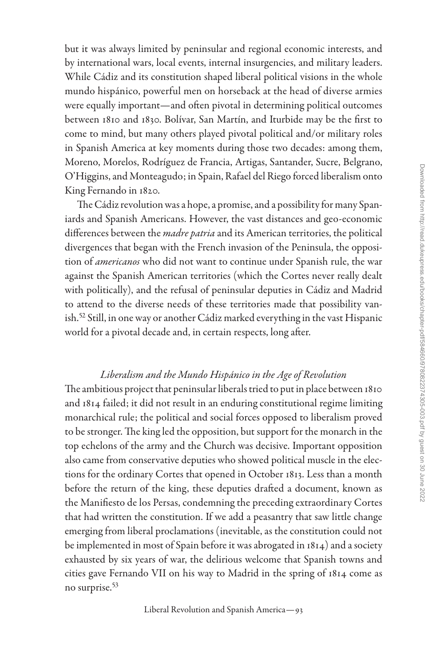but it was always limited by peninsular and regional economic interests, and by international wars, local events, internal insurgencies, and military leaders. While Cádiz and its constitution shaped liberal political visions in the whole mundo hispánico, powerful men on horseback at the head of diverse armies were equally important—and often pivotal in determining political outcomes between 1810 and 1830. Bolívar, San Martín, and Iturbide may be the first to come to mind, but many others played pivotal political and/or military roles in Spanish America at key moments during those two decades: among them, Moreno, Morelos, Rodríguez de Francia, Artigas, Santander, Sucre, Belgrano, O'Higgins, and Monteagudo; in Spain, Rafael del Riego forced liberalism onto King Fernando in 1820.

The Cádiz revolution was a hope, a promise, and a possibility for many Spaniards and Spanish Americans. However, the vast distances and geo-economic differences between the *madre patria* and its American territories, the political divergences that began with the French invasion of the Peninsula, the opposition of *americanos* who did not want to continue under Spanish rule, the war against the Spanish American territories (which the Cortes never really dealt with politically), and the refusal of peninsular deputies in Cádiz and Madrid to attend to the diverse needs of these territories made that possibility vanish.[52](#page-32-0) Still, in one way or another Cádiz marked everything in the vast Hispanic world for a pivotal decade and, in certain respects, long after.

# *Liberalism and the Mundo Hispánico in the Age of Revolution*

The ambitious project that peninsular liberals tried to put in place between 1810 and 1814 failed; it did not result in an enduring constitutional regime limiting monarchical rule; the political and social forces opposed to liberalism proved to be stronger. The king led the opposition, but support for the monarch in the top echelons of the army and the Church was decisive. Important opposition also came from conservative deputies who showed political muscle in the elections for the ordinary Cortes that opened in October 1813. Less than a month before the return of the king, these deputies drafted a document, known as the Manifiesto de los Persas, condemning the preceding extraordinary Cortes that had written the constitution. If we add a peasantry that saw little change emerging from liberal proclamations (inevitable, as the constitution could not be implemented in most of Spain before it was abrogated in 1814) and a society exhausted by six years of war, the delirious welcome that Spanish towns and cities gave Fernando VII on his way to Madrid in the spring of 1814 come as no surprise.<sup>[53](#page-32-0)</sup>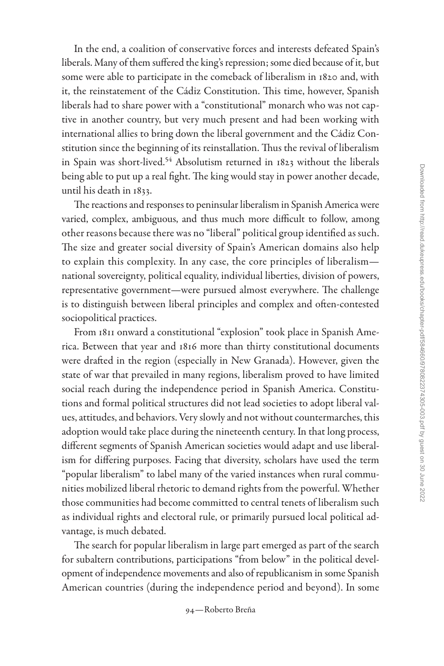In the end, a coalition of conservative forces and interests defeated Spain's liberals. Many of them suffered the king's repression; some died because of it, but some were able to participate in the comeback of liberalism in 1820 and, with it, the reinstatement of the Cádiz Constitution. This time, however, Spanish liberals had to share power with a "constitutional" monarch who was not captive in another country, but very much present and had been working with international allies to bring down the liberal government and the Cádiz Constitution since the beginning of its reinstallation. Thus the revival of liberalism in Spain was short-lived.<sup>[54](#page-32-0)</sup> Absolutism returned in 1823 without the liberals being able to put up a real fight. The king would stay in power another decade, until his death in 1833.

The reactions and responses to peninsular liberalism in Spanish America were varied, complex, ambiguous, and thus much more difficult to follow, among other reasons because there was no "liberal" political group identified as such. The size and greater social diversity of Spain's American domains also help to explain this complexity. In any case, the core principles of liberalism national sovereignty, political equality, individual liberties, division of powers, representative government—were pursued almost everywhere. The challenge is to distinguish between liberal principles and complex and often-contested sociopolitical practices.

From 1811 onward a constitutional "explosion" took place in Spanish America. Between that year and 1816 more than thirty constitutional documents were drafted in the region (especially in New Granada). However, given the state of war that prevailed in many regions, liberalism proved to have limited social reach during the independence period in Spanish America. Constitutions and formal political structures did not lead societies to adopt liberal values, attitudes, and behaviors. Very slowly and not without countermarches, this adoption would take place during the nineteenth century. In that long process, different segments of Spanish American societies would adapt and use liberalism for differing purposes. Facing that diversity, scholars have used the term "popular liberalism" to label many of the varied instances when rural communities mobilized liberal rhetoric to demand rights from the powerful. Whether those communities had become committed to central tenets of liberalism such as individual rights and electoral rule, or primarily pursued local political advantage, is much debated.

The search for popular liberalism in large part emerged as part of the search for subaltern contributions, participations "from below" in the political development of independence movements and also of republicanism in some Spanish American countries (during the independence period and beyond). In some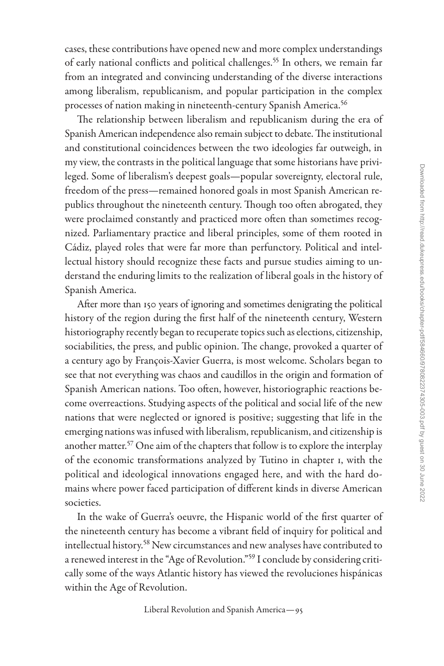cases, these contributions have opened new and more complex understandings of early national conflicts and political challenges.<sup>55</sup> In others, we remain far from an integrated and convincing understanding of the diverse interactions among liberalism, republicanism, and popular participation in the complex processes of nation making in nineteenth-century Spanish America.<sup>56</sup>

The relationship between liberalism and republicanism during the era of Spanish American independence also remain subject to debate. The institutional and constitutional coincidences between the two ideologies far outweigh, in my view, the contrasts in the political language that some historians have privileged. Some of liberalism's deepest goals—popular sovereignty, electoral rule, freedom of the press—remained honored goals in most Spanish American republics throughout the nineteenth century. Though too often abrogated, they were proclaimed constantly and practiced more often than sometimes recognized. Parliamentary practice and liberal principles, some of them rooted in Cádiz, played roles that were far more than perfunctory. Political and intellectual history should recognize these facts and pursue studies aiming to understand the enduring limits to the realization of liberal goals in the history of Spanish America.

After more than 150 years of ignoring and sometimes denigrating the political history of the region during the first half of the nineteenth century, Western historiography recently began to recuperate topics such as elections, citizenship, sociabilities, the press, and public opinion. The change, provoked a quarter of a century ago by François-Xavier Guerra, is most welcome. Scholars began to see that not everything was chaos and caudillos in the origin and formation of Spanish American nations. Too often, however, historiographic reactions become overreactions. Studying aspects of the political and social life of the new nations that were neglected or ignored is positive; suggesting that life in the emerging nations was infused with liberalism, republicanism, and citizenship is another matter.<sup>57</sup> One aim of the chapters that follow is to explore the interplay of the economic transformations analyzed by Tutino in chapter 1, with the political and ideological innovations engaged here, and with the hard domains where power faced participation of different kinds in diverse American societies.

In the wake of Guerra's oeuvre, the Hispanic world of the first quarter of the nineteenth century has become a vibrant field of inquiry for political and intellectual history[.58](#page-32-0) New circumstances and new analyses have contributed to a renewed interest in the "Age of Revolution."[59](#page-33-0) I conclude by considering critically some of the ways Atlantic history has viewed the revoluciones hispánicas within the Age of Revolution.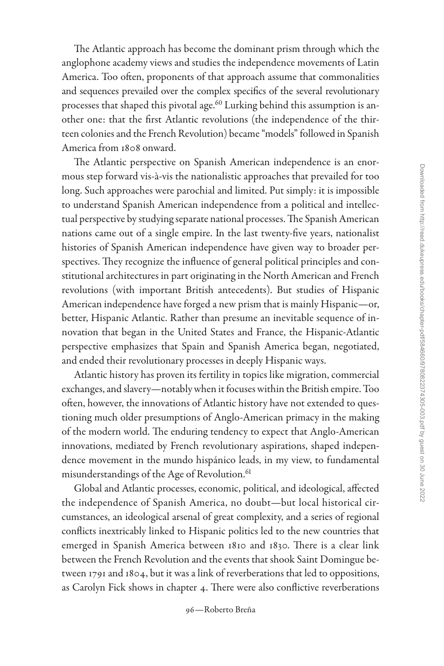The Atlantic approach has become the dominant prism through which the anglophone academy views and studies the independence movements of Latin America. Too often, proponents of that approach assume that commonalities and sequences prevailed over the complex specifics of the several revolutionary processes that shaped this pivotal age.<sup>60</sup> Lurking behind this assumption is another one: that the first Atlantic revolutions (the independence of the thirteen colonies and the French Revolution) became "models" followed in Spanish America from 1808 onward.

The Atlantic perspective on Spanish American independence is an enormous step forward vis-à-vis the nationalistic approaches that prevailed for too long. Such approaches were parochial and limited. Put simply: it is impossible to understand Spanish American independence from a political and intellectual perspective by studying separate national processes. The Spanish American nations came out of a single empire. In the last twenty-five years, nationalist histories of Spanish American independence have given way to broader perspectives. They recognize the influence of general political principles and constitutional architectures in part originating in the North American and French revolutions (with important British antecedents). But studies of Hispanic American independence have forged a new prism that is mainly Hispanic—or, better, Hispanic Atlantic. Rather than presume an inevitable sequence of innovation that began in the United States and France, the Hispanic-Atlantic perspective emphasizes that Spain and Spanish America began, negotiated, and ended their revolutionary processes in deeply Hispanic ways.

Atlantic history has proven its fertility in topics like migration, commercial exchanges, and slavery—notably when it focuses within the British empire. Too often, however, the innovations of Atlantic history have not extended to questioning much older presumptions of Anglo-American primacy in the making of the modern world. The enduring tendency to expect that Anglo-American innovations, mediated by French revolutionary aspirations, shaped independence movement in the mundo hispánico leads, in my view, to fundamental misunderstandings of the Age of Revolution.<sup>[61](#page-33-0)</sup>

Global and Atlantic processes, economic, political, and ideological, affected the independence of Spanish America, no doubt—but local historical circumstances, an ideological arsenal of great complexity, and a series of regional conflicts inextricably linked to Hispanic politics led to the new countries that emerged in Spanish America between 1810 and 1830. There is a clear link between the French Revolution and the events that shook Saint Domingue between 1791 and 1804, but it was a link of reverberations that led to oppositions, as Carolyn Fick shows in chapter 4. There were also conflictive reverberations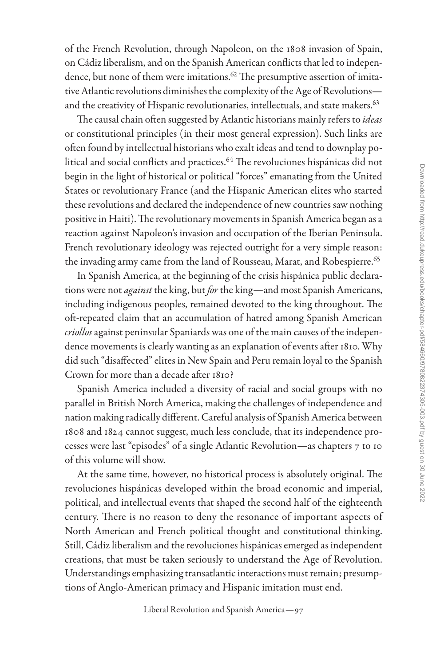of the French Revolution, through Napoleon, on the 1808 invasion of Spain, on Cádiz liberalism, and on the Spanish American conflicts that led to independence, but none of them were imitations. $62$  The presumptive assertion of imitative Atlantic revolutions diminishes the complexity of the Age of Revolutions— and the creativity of Hispanic revolutionaries, intellectuals, and state makers.<sup>[63](#page-33-0)</sup>

The causal chain often suggested by Atlantic historians mainly refers to *ideas* or constitutional principles (in their most general expression). Such links are often found by intellectual historians who exalt ideas and tend to downplay political and social conflicts and practices.<sup>64</sup> The revoluciones hispánicas did not begin in the light of historical or political "forces" emanating from the United States or revolutionary France (and the Hispanic American elites who started these revolutions and declared the independence of new countries saw nothing positive in Haiti). The revolutionary movements in Spanish America began as a reaction against Napoleon's invasion and occupation of the Iberian Peninsula. French revolutionary ideology was rejected outright for a very simple reason: the invading army came from the land of Rousseau, Marat, and Robespierre.<sup>65</sup>

In Spanish America, at the beginning of the crisis hispánica public declarations were not *against* the king, but *for* the king—and most Spanish Americans, including indigenous peoples, remained devoted to the king throughout. The oft-repeated claim that an accumulation of hatred among Spanish American *criollos* against peninsular Spaniards was one of the main causes of the independence movements is clearly wanting as an explanation of events after 1810. Why did such "disaffected" elites in New Spain and Peru remain loyal to the Spanish Crown for more than a decade after 1810?

Spanish America included a diversity of racial and social groups with no parallel in British North America, making the challenges of independence and nation making radically different. Careful analysis of Spanish America between 1808 and 1824 cannot suggest, much less conclude, that its independence processes were last "episodes" of a single Atlantic Revolution—as chapters 7 to 10 of this volume will show.

At the same time, however, no historical process is absolutely original. The revoluciones hispánicas developed within the broad economic and imperial, political, and intellectual events that shaped the second half of the eighteenth century. There is no reason to deny the resonance of important aspects of North American and French political thought and constitutional thinking. Still, Cádiz liberalism and the revoluciones hispánicas emerged as independent creations, that must be taken seriously to understand the Age of Revolution. Understandings emphasizing transatlantic interactions must remain; presumptions of Anglo-American primacy and Hispanic imitation must end.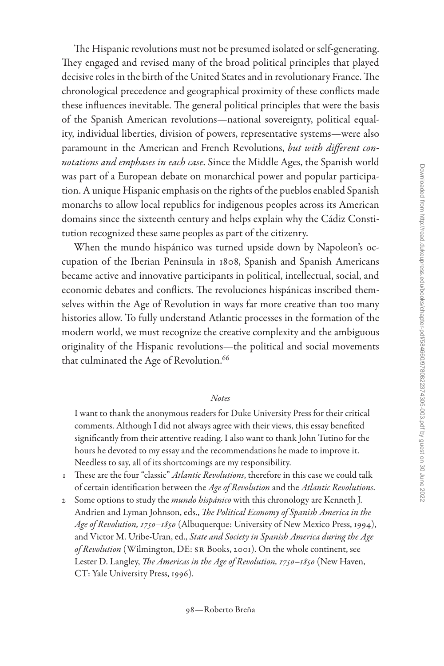<span id="page-27-0"></span>The Hispanic revolutions must not be presumed isolated or self-generating. They engaged and revised many of the broad political principles that played decisive roles in the birth of the United States and in revolutionary France. The chronological precedence and geographical proximity of these conflicts made these influences inevitable. The general political principles that were the basis of the Spanish American revolutions—national sovereignty, political equality, individual liberties, division of powers, representative systems—were also paramount in the American and French Revolutions, *but with different connotations and emphases in each case*. Since the Middle Ages, the Spanish world was part of a European debate on monarchical power and popular participation. A unique Hispanic emphasis on the rights of the pueblos enabled Spanish monarchs to allow local republics for indigenous peoples across its American domains since the sixteenth century and helps explain why the Cádiz Constitution recognized these same peoples as part of the citizenry.

When the mundo hispánico was turned upside down by Napoleon's occupation of the Iberian Peninsula in 1808, Spanish and Spanish Americans became active and innovative participants in political, intellectual, social, and economic debates and conflicts. The revoluciones hispánicas inscribed themselves within the Age of Revolution in ways far more creative than too many histories allow. To fully understand Atlantic processes in the formation of the modern world, we must recognize the creative complexity and the ambiguous originality of the Hispanic revolutions—the political and social movements that culminated the Age of Revolution.<sup>66</sup>

#### *Notes*

I want to thank the anonymous readers for Duke University Press for their critical comments. Although I did not always agree with their views, this essay benefited significantly from their attentive reading. I also want to thank John Tutino for the hours he devoted to my essay and the recommendations he made to improve it. Needless to say, all of its shortcomings are my responsibility.

- 1 These are the four "classic" *Atlantic Revolutions*, therefore in this case we could talk of certain identification between the *Age of Revolution* and the *Atlantic Revolutions*.
- 2 Some options to study the *mundo hispánico* with this chronology are Kenneth J. Andrien and Lyman Johnson, eds., *The Political Economy of Spanish America in the Age of Revolution, 1750–1850* (Albuquerque: University of New Mexico Press, 1994), and Victor M. Uribe-Uran, ed., *State and Society in Spanish America during the Age of Revolution* (Wilmington, DE: SR Books, 2001). On the whole continent, see Lester D. Langley, *The Americas in the Age of Revolution, 1750–1850* (New Haven, CT: Yale University Press, 1996).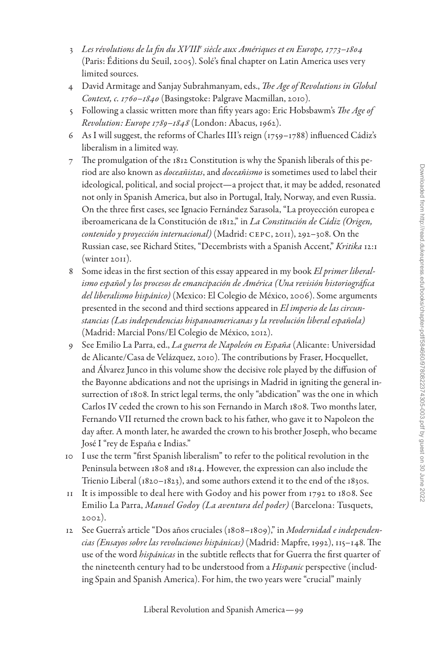- <span id="page-28-0"></span>3 *Les révolutions de la fin du XVIIIe siècle aux Amériques et en Europe, 1773–1804* (Paris: Éditions du Seuil, 2005). Solé's final chapter on Latin America uses very limited sources.
- 4 David Armitage and Sanjay Subrahmanyam, eds., *The Age of Revolutions in Global Context, c. 1760–1840* (Basingstoke: Palgrave Macmillan, 2010).
- 5 Following a classic written more than fifty years ago: Eric Hobsbawm's *The Age of Revolution: Europe 1789–1848* (London: Abacus, 1962).
- 6 As I will suggest, the reforms of Charles III's reign (1759–1788) influenced Cádiz's liberalism in a limited way.
- 7 The promulgation of the 1812 Constitution is why the Spanish liberals of this period are also known as *doceañistas*, and *doceañismo* is sometimes used to label their ideological, political, and social project—a project that, it may be added, resonated not only in Spanish America, but also in Portugal, Italy, Norway, and even Russia. On the three first cases, see Ignacio Fernández Sarasola, "La proyección europea e iberoamericana de la Constitución de 1812," in *La Constitución de Cádiz (Origen, contenido y proyección internacional)* (Madrid: cepc, 2011), 292–308. On the Russian case, see Richard Stites, "Decembrists with a Spanish Accent," *Kritika* 12:1  $(winter 2011)$ .
- 8 Some ideas in the first section of this essay appeared in my book *El primer liberalismo español y los procesos de emancipación de América (Una revisión historiográfica del liberalismo hispánico)* (Mexico: El Colegio de México, 2006). Some arguments presented in the second and third sections appeared in *El imperio de las circunstancias (Las independencias hispanoamericanas y la revolución liberal española)* (Madrid: Marcial Pons/El Colegio de México, 2012).
- 9 See Emilio La Parra, ed., *La guerra de Napoleón en España* (Alicante: Universidad de Alicante/Casa de Velázquez, 2010). The contributions by Fraser, Hocquellet, and Álvarez Junco in this volume show the decisive role played by the diffusion of the Bayonne abdications and not the uprisings in Madrid in igniting the general insurrection of 1808. In strict legal terms, the only "abdication" was the one in which Carlos IV ceded the crown to his son Fernando in March 1808. Two months later, Fernando VII returned the crown back to his father, who gave it to Napoleon the day after. A month later, he awarded the crown to his brother Joseph, who became José I "rey de España e Indias."
- 10 I use the term "first Spanish liberalism" to refer to the political revolution in the Peninsula between 1808 and 1814. However, the expression can also include the Trienio Liberal (1820–1823), and some authors extend it to the end of the 1830s.
- 11 It is impossible to deal here with Godoy and his power from 1792 to 1808. See Emilio La Parra, *Manuel Godoy (La aventura del poder)* (Barcelona: Tusquets, 2002).
- 12 See Guerra's article "Dos años cruciales (1808–1809)," in *Modernidad e independencias (Ensayos sobre las revoluciones hispánicas)* (Madrid: Mapfre, 1992), 115–148. The use of the word *hispánicas* in the subtitle reflects that for Guerra the first quarter of the nineteenth century had to be understood from a *Hispanic* perspective (including Spain and Spanish America). For him, the two years were "crucial" mainly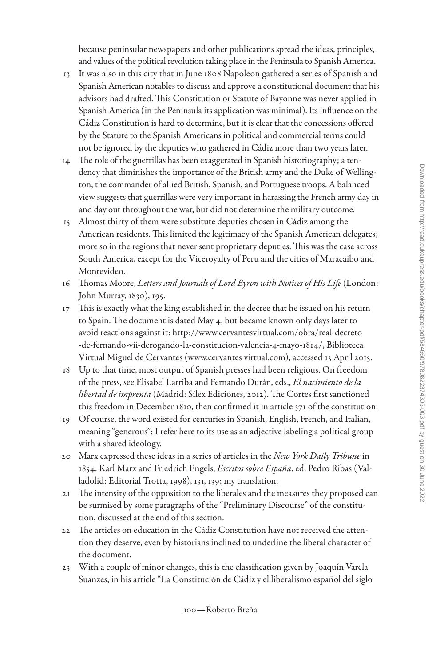<span id="page-29-0"></span>because peninsular newspapers and other publications spread the ideas, principles, and values of the political revolution taking place in the Peninsula to Spanish America.

- 13 It was also in this city that in June 1808 Napoleon gathered a series of Spanish and Spanish American notables to discuss and approve a constitutional document that his advisors had drafted. This Constitution or Statute of Bayonne was never applied in Spanish America (in the Peninsula its application was minimal). Its influence on the Cádiz Constitution is hard to determine, but it is clear that the concessions offered by the Statute to the Spanish Americans in political and commercial terms could not be ignored by the deputies who gathered in Cádiz more than two years later.
- 14 The role of the guerrillas has been exaggerated in Spanish historiography; a tendency that diminishes the importance of the British army and the Duke of Wellington, the commander of allied British, Spanish, and Portuguese troops. A balanced view suggests that guerrillas were very important in harassing the French army day in and day out throughout the war, but did not determine the military outcome.
- 15 Almost thirty of them were substitute deputies chosen in Cádiz among the American residents. This limited the legitimacy of the Spanish American delegates; more so in the regions that never sent proprietary deputies. This was the case across South America, except for the Viceroyalty of Peru and the cities of Maracaibo and Montevideo.
- 16 Thomas Moore, *Letters and Journals of Lord Byron with Notices of His Life* (London: John Murray, 1830), 195.
- 17 This is exactly what the king established in the decree that he issued on his return to Spain. The document is dated May 4, but became known only days later to avoid reactions against it: [http://www.cervantesvirtual.com/obra/real-decreto](http://www.cervantesvirtual.com/obra/real-decreto-de-fernando-vii-derogando-la-constitucion-valencia-4-mayo-1814/) [-de-fernando-vii-derogando-la-constitucion-valencia-4-mayo-1814/,](http://www.cervantesvirtual.com/obra/real-decreto-de-fernando-vii-derogando-la-constitucion-valencia-4-mayo-1814/) Biblioteca Virtual Miguel de Cervantes ([www.cervantes](http://www.cervantesvirtual.com) virtual.com), accessed 13 April 2015.
- 18 Up to that time, most output of Spanish presses had been religious. On freedom of the press, see Elisabel Larriba and Fernando Durán, eds., *El nacimiento de la libertad de imprenta* (Madrid: Sílex Ediciones, 2012). The Cortes first sanctioned this freedom in December 1810, then confirmed it in article 371 of the constitution.
- 19 Of course, the word existed for centuries in Spanish, English, French, and Italian, meaning "generous"; I refer here to its use as an adjective labeling a political group with a shared ideology.
- 20 Marx expressed these ideas in a series of articles in the *New York Daily Tribune* in 1854. Karl Marx and Friedrich Engels, *Escritos sobre España*, ed. Pedro Ribas (Valladolid: Editorial Trotta, 1998), 131, 139; my translation.
- 21 The intensity of the opposition to the liberales and the measures they proposed can be surmised by some paragraphs of the "Preliminary Discourse" of the constitution, discussed at the end of this section.
- 22 The articles on education in the Cádiz Constitution have not received the attention they deserve, even by historians inclined to underline the liberal character of the document.
- 23 With a couple of minor changes, this is the classification given by Joaquín Varela Suanzes, in his article "La Constitución de Cádiz y el liberalismo español del siglo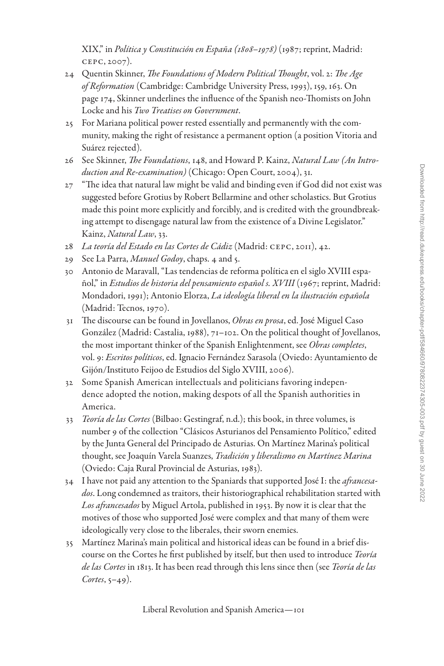<span id="page-30-0"></span>XIX," in *Política y Constitución en España (1808–1978)* (1987; reprint, Madrid: cepc, 2007).

- 24 Quentin Skinner, *The Foundations of Modern Political Thought*, vol. 2: *The Age of Reformation* (Cambridge: Cambridge University Press, 1993), 159, 163. On page 174, Skinner underlines the influence of the Spanish neo-Thomists on John Locke and his *Two Treatises on Government*.
- 25 For Mariana political power rested essentially and permanently with the community, making the right of resistance a permanent option (a position Vitoria and Suárez rejected).
- 26 See Skinner, *The Foundations*, 148, and Howard P. Kainz, *Natural Law (An Introduction and Re-examination)* (Chicago: Open Court, 2004), 31.
- 27 "The idea that natural law might be valid and binding even if God did not exist was suggested before Grotius by Robert Bellarmine and other scholastics. But Grotius made this point more explicitly and forcibly, and is credited with the groundbreaking attempt to disengage natural law from the existence of a Divine Legislator." Kainz, *Natural Law*, 33.
- 28 *La teoría del Estado en las Cortes de Cádiz* (Madrid: cepc, 2011), 42.
- 29 See La Parra, *Manuel Godoy*, chaps. 4 and 5.
- 30 Antonio de Maravall, "Las tendencias de reforma política en el siglo XVIII español," in *Estudios de historia del pensamiento español s. XVIII* (1967; reprint, Madrid: Mondadori, 1991); Antonio Elorza, *La ideología liberal en la ilustración española* (Madrid: Tecnos, 1970).
- 31 The discourse can be found in Jovellanos, *Obras en prosa*, ed. José Miguel Caso González (Madrid: Castalia, 1988), 71–102. On the political thought of Jovellanos, the most important thinker of the Spanish Enlightenment, see *Obras completes*, vol. 9: *Escritos políticos*, ed. Ignacio Fernández Sarasola (Oviedo: Ayuntamiento de Gijón/Instituto Feijoo de Estudios del Siglo XVIII, 2006).
- 32 Some Spanish American intellectuals and politicians favoring independence adopted the notion, making despots of all the Spanish authorities in America.
- 33 *Teoría de las Cortes* (Bilbao: Gestingraf, n.d.); this book, in three volumes, is number 9 of the collection "Clásicos Asturianos del Pensamiento Político," edited by the Junta General del Principado de Asturias. On Martínez Marina's political thought, see Joaquín Varela Suanzes, *Tradición y liberalismo en Martínez Marina* (Oviedo: Caja Rural Provincial de Asturias, 1983).
- 34 I have not paid any attention to the Spaniards that supported José I: the *afrancesados*. Long condemned as traitors, their historiographical rehabilitation started with *Los afrancesados* by Miguel Artola, published in 1953. By now it is clear that the motives of those who supported José were complex and that many of them were ideologically very close to the liberales, their sworn enemies.
- 35 Martínez Marina's main political and historical ideas can be found in a brief discourse on the Cortes he first published by itself, but then used to introduce *Teoría de las Cortes* in 1813. It has been read through this lens since then (see *Teoría de las Cortes*, 5–49).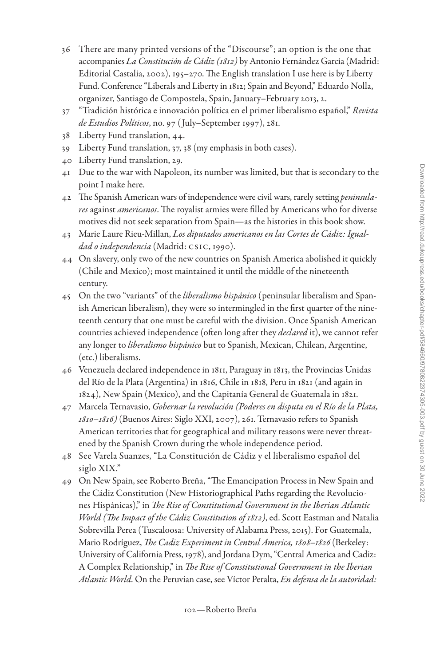- <span id="page-31-0"></span>36 There are many printed versions of the "Discourse"; an option is the one that accompanies *La Constitución de Cádiz (1812)* by Antonio Fernández García (Madrid: Editorial Castalia, 2002), 195–270. The English translation I use here is by Liberty Fund. Conference "Liberals and Liberty in 1812; Spain and Beyond," Eduardo Nolla, organizer, Santiago de Compostela, Spain, January–February 2013, 2.
- 37 "Tradición histórica e innovación política en el primer liberalismo español," *Revista de Estudios Políticos*, no. 97 ( July–September 1997), 281.
- 38 Liberty Fund translation, 44.
- 39 Liberty Fund translation, 37, 38 (my emphasis in both cases).
- 40 Liberty Fund translation, 29.
- 41 Due to the war with Napoleon, its number was limited, but that is secondary to the point I make here.
- 42 The Spanish American wars of independence were civil wars, rarely setting *peninsulares* against *americanos*. The royalist armies were filled by Americans who for diverse motives did not seek separation from Spain—as the histories in this book show.
- 43 Marie Laure Rieu-Millan, *Los diputados americanos en las Cortes de Cádiz: Igualdad o independencia* (Madrid: csic, 1990).
- 44 On slavery, only two of the new countries on Spanish America abolished it quickly (Chile and Mexico); most maintained it until the middle of the nineteenth century.
- 45 On the two "variants" of the *liberalismo hispánico* (peninsular liberalism and Spanish American liberalism), they were so intermingled in the first quarter of the nineteenth century that one must be careful with the division. Once Spanish American countries achieved independence (often long after they *declared* it), we cannot refer any longer to *liberalismo hispánico* but to Spanish, Mexican, Chilean, Argentine, (etc.) liberalisms.
- 46 Venezuela declared independence in 1811, Paraguay in 1813, the Provincias Unidas del Río de la Plata (Argentina) in 1816, Chile in 1818, Peru in 1821 (and again in 1824), New Spain (Mexico), and the Capitanía General de Guatemala in 1821.
- 47 Marcela Ternavasio, *Gobernar la revolución (Poderes en disputa en el Río de la Plata, 1810–1816)* (Buenos Aires: Siglo XXI, 2007), 261. Ternavasio refers to Spanish American territories that for geographical and military reasons were never threatened by the Spanish Crown during the whole independence period.
- 48 See Varela Suanzes, "La Constitución de Cádiz y el liberalismo español del siglo XIX."
- 49 On New Spain, see Roberto Breña, "The Emancipation Process in New Spain and the Cádiz Constitution (New Historiographical Paths regarding the Revoluciones Hispánicas)," in *The Rise of Constitutional Government in the Iberian Atlantic World (The Impact of the Cádiz Constitution of 1812)*, ed. Scott Eastman and Natalia Sobrevilla Perea (Tuscaloosa: University of Alabama Press, 2015). For Guatemala, Mario Rodríguez, *The Cadiz Experiment in Central America, 1808–1826* (Berkeley: University of California Press, 1978), and Jordana Dym, "Central America and Cadiz: A Complex Relationship," in *The Rise of Constitutional Government in the Iberian Atlantic World*. On the Peruvian case, see Víctor Peralta, *En defensa de la autoridad:*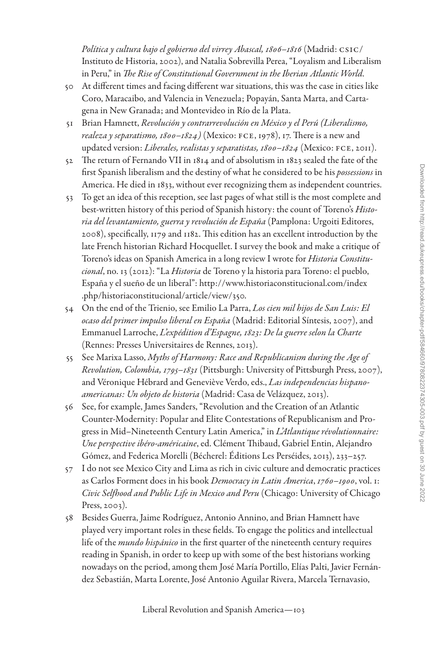<span id="page-32-0"></span>*Política y cultura bajo el gobierno del virrey Abascal, 1806–1816* (Madrid: csic/ Instituto de Historia, 2002), and Natalia Sobrevilla Perea, "Loyalism and Liberalism in Peru," in *The Rise of Constitutional Government in the Iberian Atlantic World*.

- 50 At different times and facing different war situations, this was the case in cities like Coro, Maracaibo, and Valencia in Venezuela; Popayán, Santa Marta, and Cartagena in New Granada; and Montevideo in Río de la Plata.
- 51 Brian Hamnett, *Revolución y contrarrevolución en México y el Perú (Liberalismo, realeza y separatismo, 1800–1824)* (Mexico: fce, 1978), 17. There is a new and updated version: *Liberales, realistas y separatistas, 1800–1824* (Mexico: FCE, 2011).
- 52 The return of Fernando VII in 1814 and of absolutism in 1823 sealed the fate of the first Spanish liberalism and the destiny of what he considered to be his *possessions* in America. He died in 1833, without ever recognizing them as independent countries.
- 53 To get an idea of this reception, see last pages of what still is the most complete and best-written history of this period of Spanish history: the count of Toreno's *Historia del levantamiento, guerra y revolución de España* (Pamplona: Urgoiti Editores, 2008), specifically, 1179 and 1182. This edition has an excellent introduction by the late French historian Richard Hocquellet. I survey the book and make a critique of Toreno's ideas on Spanish America in a long review I wrote for *Historia Constitucional*, no. 13 (2012): "La *Historia* de Toreno y la historia para Toreno: el pueblo, España y el sueño de un liberal": [http://www.historiaconstitucional.com/index](http://www.historiaconstitucional.com/index.php/historiaconstitucional/article/view/350) [.php/historiaconstitucional/article/view/350.](http://www.historiaconstitucional.com/index.php/historiaconstitucional/article/view/350)
- 54 On the end of the Trienio, see Emilio La Parra, *Los cien mil hijos de San Luis: El ocaso del primer impulso liberal en España* (Madrid: Editorial Síntesis, 2007), and Emmanuel Larroche, *L'expédition d'Espagne, 1823: De la guerre selon la Charte* (Rennes: Presses Universitaires de Rennes, 2013).
- 55 See Marixa Lasso, *Myths of Harmony: Race and Republicanism during the Age of Revolution, Colombia, 1795–1831* (Pittsburgh: University of Pittsburgh Press, 2007), and Véronique Hébrard and Geneviève Verdo, eds., *Las independencias hispanoamericanas: Un objeto de historia* (Madrid: Casa de Velázquez, 2013).
- 56 See, for example, James Sanders, "Revolution and the Creation of an Atlantic Counter-Modernity: Popular and Elite Contestations of Republicanism and Progress in Mid–Nineteenth Century Latin America," in *L'Atlantique révolutionnaire: Une perspective ibéro-américaine*, ed. Clément Thibaud, Gabriel Entin, Alejandro Gómez, and Federica Morelli (Bécherel: Éditions Les Perséides, 2013), 233–257.
- 57 I do not see Mexico City and Lima as rich in civic culture and democratic practices as Carlos Forment does in his book *Democracy in Latin America*, *1760–1900*, vol. 1: *Civic Selfhood and Public Life in Mexico and Peru* (Chicago: University of Chicago Press, 2003).
- 58 Besides Guerra, Jaime Rodríguez, Antonio Annino, and Brian Hamnett have played very important roles in these fields. To engage the politics and intellectual life of the *mundo hispánico* in the first quarter of the nineteenth century requires reading in Spanish, in order to keep up with some of the best historians working nowadays on the period, among them José María Portillo, Elías Palti, Javier Fernández Sebastián, Marta Lorente, José Antonio Aguilar Rivera, Marcela Ternavasio,